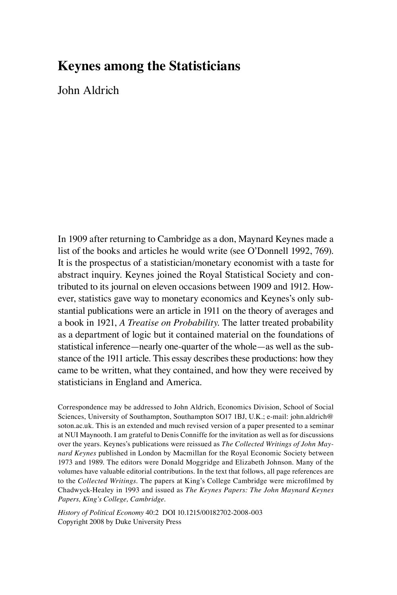# **Keynes among the Statisticians**

John Aldrich

In 1909 after returning to Cambridge as a don, Maynard Keynes made a list of the books and articles he would write (see O'Donnell 1992, 769). It is the prospectus of a statistician/monetary economist with a taste for abstract inquiry. Keynes joined the Royal Statistical Society and contributed to its journal on eleven occasions between 1909 and 1912. However, statistics gave way to monetary economics and Keynes's only substantial publications were an article in 1911 on the theory of averages and a book in 1921, *A Treatise on Probability*. The latter treated probability as a department of logic but it contained material on the foundations of statistical inference—nearly one-quarter of the whole—as well as the substance of the 1911 article. This essay describes these productions: how they came to be written, what they contained, and how they were received by statisticians in England and America.

Correspondence may be addressed to John Aldrich, Economics Division, School of Social Sciences, University of Southampton, Southampton SO17 1BJ, U.K.; e-mail: john.aldrich@ soton.ac.uk. This is an extended and much revised version of a paper presented to a seminar at NUI Maynooth. I am grateful to Denis Conniffe for the invitation as well as for discussions over the years. Keynes's publications were reissued as *The Collected Writings of John Maynard Keynes* published in London by Macmillan for the Royal Economic Society between 1973 and 1989. The editors were Donald Moggridge and Elizabeth Johnson. Many of the volumes have valuable editorial contributions. In the text that follows, all page references are to the *Collected Writings*. The papers at King's College Cambridge were microfilmed by Chadwyck-Healey in 1993 and issued as *The Keynes Papers: The John Maynard Keynes Papers, King's College, Cambridge*.

*History of Political Economy* 40:2 DOI 10.1215/00182702-2008-003 Copyright 2008 by Duke University Press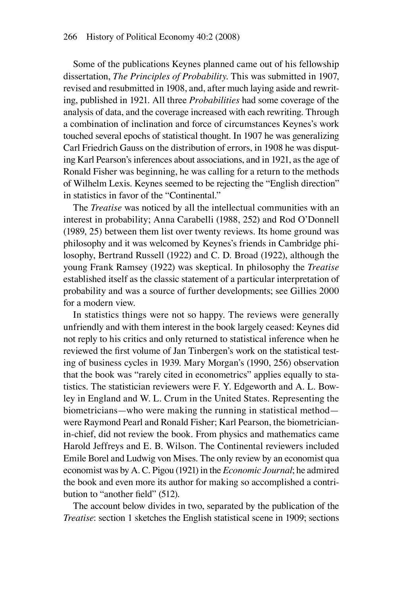Some of the publications Keynes planned came out of his fellowship dissertation, *The Principles of Probability*. This was submitted in 1907, revised and resubmitted in 1908, and, after much laying aside and rewriting, published in 1921. All three *Probabilities* had some coverage of the analysis of data, and the coverage increased with each rewriting. Through a combination of inclination and force of circumstances Keynes's work touched several epochs of statistical thought. In 1907 he was generalizing Carl Friedrich Gauss on the distribution of errors, in 1908 he was disputing Karl Pearson's inferences about associations, and in 1921, as the age of Ronald Fisher was beginning, he was calling for a return to the methods of Wilhelm Lexis. Keynes seemed to be rejecting the "English direction" in statistics in favor of the "Continental."

The *Treatise* was noticed by all the intellectual communities with an interest in probability; Anna Carabelli (1988, 252) and Rod O'Donnell (1989, 25) between them list over twenty reviews. Its home ground was philosophy and it was welcomed by Keynes's friends in Cambridge philosophy, Bertrand Russell (1922) and C. D. Broad (1922), although the young Frank Ramsey (1922) was skeptical. In philosophy the *Treatise* established itself as the classic statement of a particular interpretation of probability and was a source of further developments; see Gillies 2000 for a modern view.

In statistics things were not so happy. The reviews were generally unfriendly and with them interest in the book largely ceased: Keynes did not reply to his critics and only returned to statistical inference when he reviewed the first volume of Jan Tinbergen's work on the statistical testing of business cycles in 1939. Mary Morgan's (1990, 256) observation that the book was "rarely cited in econometrics" applies equally to statistics. The statistician reviewers were F. Y. Edgeworth and A. L. Bowley in England and W. L. Crum in the United States. Representing the biometricians—who were making the running in statistical method were Raymond Pearl and Ronald Fisher; Karl Pearson, the biometricianin-chief, did not review the book. From physics and mathematics came Harold Jeffreys and E. B. Wilson. The Continental reviewers included Emile Borel and Ludwig von Mises. The only review by an economist qua economist was by A. C. Pigou (1921) in the *Economic Journal*; he admired the book and even more its author for making so accomplished a contribution to "another field" (512).

The account below divides in two, separated by the publication of the *Treatise*: section 1 sketches the English statistical scene in 1909; sections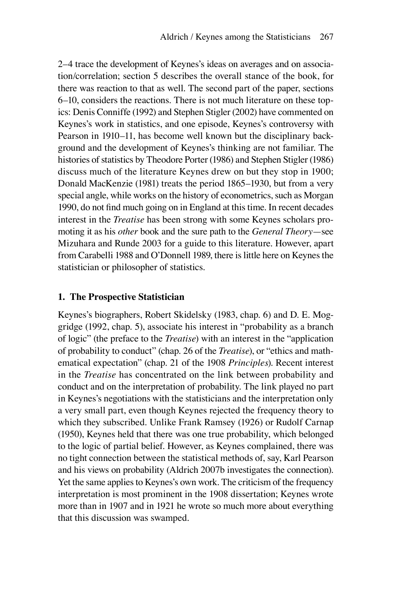2–4 trace the development of Keynes's ideas on averages and on association/correlation; section 5 describes the overall stance of the book, for there was reaction to that as well. The second part of the paper, sections 6–10, considers the reactions. There is not much literature on these topics: Denis Conniffe (1992) and Stephen Stigler (2002) have commented on Keynes's work in statistics, and one episode, Keynes's controversy with Pearson in 1910–11, has become well known but the disciplinary background and the development of Keynes's thinking are not familiar. The histories of statistics by Theodore Porter (1986) and Stephen Stigler (1986) discuss much of the literature Keynes drew on but they stop in 1900; Donald MacKenzie (1981) treats the period 1865–1930, but from a very special angle, while works on the history of econometrics, such as Morgan 1990, do not find much going on in England at this time. In recent decades interest in the *Treatise* has been strong with some Keynes scholars promoting it as his *other* book and the sure path to the *General Theory*—see Mizuhara and Runde 2003 for a guide to this literature. However, apart from Carabelli 1988 and O'Donnell 1989, there is little here on Keynes the statistician or philosopher of statistics.

# **1. The Prospective Statistician**

Keynes's biographers, Robert Skidelsky (1983, chap. 6) and D. E. Moggridge (1992, chap. 5), associate his interest in "probability as a branch of logic" (the preface to the *Treatise*) with an interest in the "application of probability to conduct" (chap. 26 of the *Treatise*), or "ethics and mathematical expectation" (chap. 21 of the 1908 *Principles*). Recent interest in the *Treatise* has concentrated on the link between probability and conduct and on the interpretation of probability. The link played no part in Keynes's negotiations with the statisticians and the interpretation only a very small part, even though Keynes rejected the frequency theory to which they subscribed. Unlike Frank Ramsey (1926) or Rudolf Carnap (1950), Keynes held that there was one true probability, which belonged to the logic of partial belief. However, as Keynes complained, there was no tight connection between the statistical methods of, say, Karl Pearson and his views on probability (Aldrich 2007b investigates the connection). Yet the same applies to Keynes's own work. The criticism of the frequency interpretation is most prominent in the 1908 dissertation; Keynes wrote more than in 1907 and in 1921 he wrote so much more about everything that this discussion was swamped.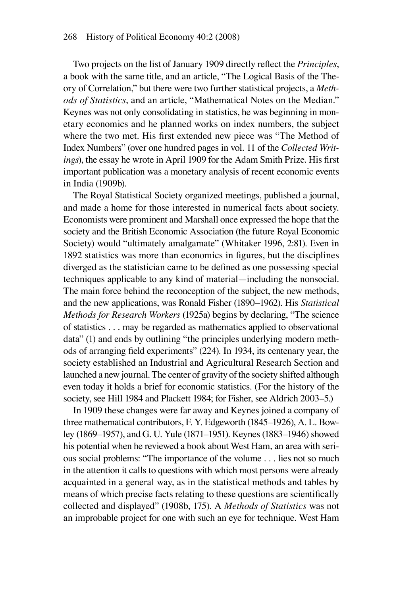Two projects on the list of January 1909 directly reflect the *Principles*, a book with the same title, and an article, "The Logical Basis of the Theory of Correlation," but there were two further statistical projects, a *Methods of Statistics*, and an article, "Mathematical Notes on the Median." Keynes was not only consolidating in statistics, he was beginning in monetary economics and he planned works on index numbers, the subject where the two met. His first extended new piece was "The Method of Index Numbers" (over one hundred pages in vol. 11 of the *Collected Writings*), the essay he wrote in April 1909 for the Adam Smith Prize. His first important publication was a monetary analysis of recent economic events in India (1909b).

The Royal Statistical Society organized meetings, published a journal, and made a home for those interested in numerical facts about society. Economists were prominent and Marshall once expressed the hope that the society and the British Economic Association (the future Royal Economic Society) would "ultimately amalgamate" (Whitaker 1996, 2:81). Even in 1892 statistics was more than economics in figures, but the disciplines diverged as the statistician came to be defined as one possessing special techniques applicable to any kind of material—including the nonsocial. The main force behind the reconception of the subject, the new methods, and the new applications, was Ronald Fisher (1890–1962). His *Statistical Methods for Research Workers* (1925a) begins by declaring, "The science of statistics . . . may be regarded as mathematics applied to observational data" (1) and ends by outlining "the principles underlying modern methods of arranging field experiments" (224). In 1934, its centenary year, the society established an Industrial and Agricultural Research Section and launched a new journal. The center of gravity of the society shifted although even today it holds a brief for economic statistics. (For the history of the society, see Hill 1984 and Plackett 1984; for Fisher, see Aldrich 2003–5.)

In 1909 these changes were far away and Keynes joined a company of three mathematical contributors, F. Y. Edgeworth (1845–1926), A. L. Bowley (1869–1957), and G. U. Yule (1871–1951). Keynes (1883–1946) showed his potential when he reviewed a book about West Ham, an area with serious social problems: "The importance of the volume . . . lies not so much in the attention it calls to questions with which most persons were already acquainted in a general way, as in the statistical methods and tables by means of which precise facts relating to these questions are scientifically collected and displayed" (1908b, 175). A *Methods of Statistics* was not an improbable project for one with such an eye for technique. West Ham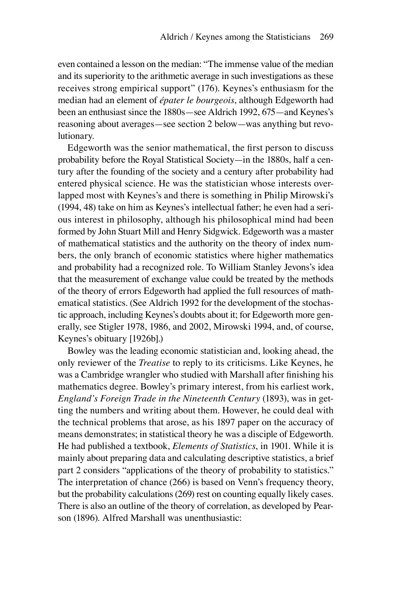even contained a lesson on the median: "The immense value of the median and its superiority to the arithmetic average in such investigations as these receives strong empirical support" (176). Keynes's enthusiasm for the median had an element of *épater le bourgeois*, although Edgeworth had been an enthusiast since the 1880s—see Aldrich 1992, 675—and Keynes's reasoning about averages—see section 2 below—was anything but revolutionary.

Edgeworth was the senior mathematical, the first person to discuss probability before the Royal Statistical Society—in the 1880s, half a century after the founding of the society and a century after probability had entered physical science. He was the statistician whose interests overlapped most with Keynes's and there is something in Philip Mirowski's (1994, 48) take on him as Keynes's intellectual father; he even had a serious interest in philosophy, although his philosophical mind had been formed by John Stuart Mill and Henry Sidgwick. Edgeworth was a master of mathematical statistics and the authority on the theory of index numbers, the only branch of economic statistics where higher mathematics and probability had a recognized role. To William Stanley Jevons's idea that the measurement of exchange value could be treated by the methods of the theory of errors Edgeworth had applied the full resources of mathematical statistics. (See Aldrich 1992 for the development of the stochastic approach, including Keynes's doubts about it; for Edgeworth more generally, see Stigler 1978, 1986, and 2002, Mirowski 1994, and, of course, Keynes's obituary [1926b].)

Bowley was the leading economic statistician and, looking ahead, the only reviewer of the *Treatise* to reply to its criticisms. Like Keynes, he was a Cambridge wrangler who studied with Marshall after finishing his mathematics degree. Bowley's primary interest, from his earliest work, *England's Foreign Trade in the Nineteenth Century* (1893), was in getting the numbers and writing about them. However, he could deal with the technical problems that arose, as his 1897 paper on the accuracy of means demonstrates; in statistical theory he was a disciple of Edgeworth. He had published a textbook, *Elements of Statistics*, in 1901. While it is mainly about preparing data and calculating descriptive statistics, a brief part 2 considers "applications of the theory of probability to statistics." The interpretation of chance (266) is based on Venn's frequency theory, but the probability calculations (269) rest on counting equally likely cases. There is also an outline of the theory of correlation, as developed by Pearson (1896). Alfred Marshall was unenthusiastic: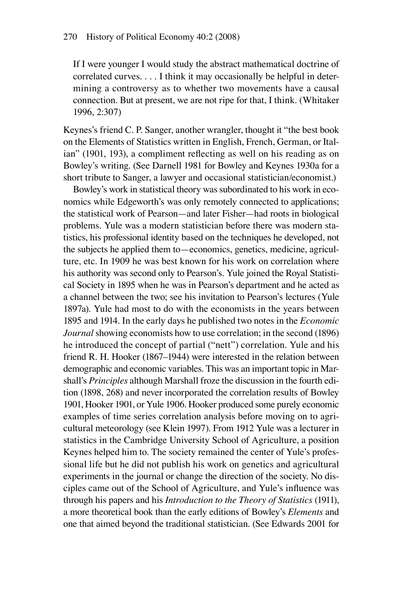If I were younger I would study the abstract mathematical doctrine of correlated curves. . . . I think it may occasionally be helpful in determining a controversy as to whether two movements have a causal connection. But at present, we are not ripe for that, I think. (Whitaker 1996, 2:307)

Keynes's friend C. P. Sanger, another wrangler, thought it "the best book on the Elements of Statistics written in English, French, German, or Italian" (1901, 193), a compliment reflecting as well on his reading as on Bowley's writing. (See Darnell 1981 for Bowley and Keynes 1930a for a short tribute to Sanger, a lawyer and occasional statistician/economist.)

Bowley's work in statistical theory was subordinated to his work in economics while Edgeworth's was only remotely connected to applications; the statistical work of Pearson—and later Fisher—had roots in biological problems. Yule was a modern statistician before there was modern statistics, his professional identity based on the techniques he developed, not the subjects he applied them to—economics, genetics, medicine, agriculture, etc. In 1909 he was best known for his work on correlation where his authority was second only to Pearson's. Yule joined the Royal Statistical Society in 1895 when he was in Pearson's department and he acted as a channel between the two; see his invitation to Pearson's lectures (Yule 1897a). Yule had most to do with the economists in the years between 1895 and 1914. In the early days he published two notes in the *Economic Journal* showing economists how to use correlation; in the second (1896) he introduced the concept of partial ("nett") correlation. Yule and his friend R. H. Hooker (1867–1944) were interested in the relation between demographic and economic variables. This was an important topic in Marshall's *Principles* although Marshall froze the discussion in the fourth edition (1898, 268) and never incorporated the correlation results of Bowley 1901, Hooker 1901, or Yule 1906. Hooker produced some purely economic examples of time series correlation analysis before moving on to agricultural meteorology (see Klein 1997). From 1912 Yule was a lecturer in statistics in the Cambridge University School of Agriculture, a position Keynes helped him to. The society remained the center of Yule's professional life but he did not publish his work on genetics and agricultural experiments in the journal or change the direction of the society. No disciples came out of the School of Agriculture, and Yule's influence was through his papers and his *Introduction to the Theory of Statistics* (1911), a more theoretical book than the early editions of Bowley's *Elements* and one that aimed beyond the traditional statistician. (See Edwards 2001 for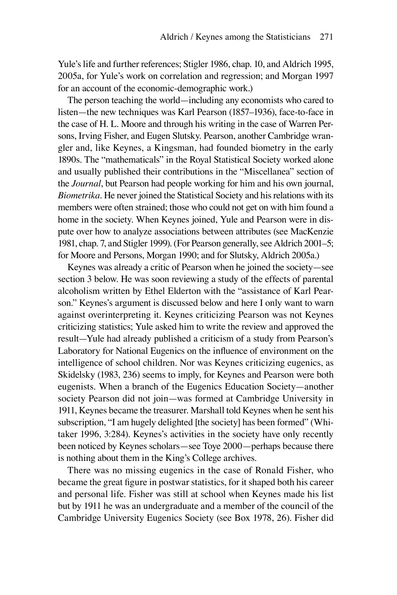Yule's life and further references; Stigler 1986, chap. 10, and Aldrich 1995, 2005a, for Yule's work on correlation and regression; and Morgan 1997 for an account of the economic-demographic work.)

The person teaching the world—including any economists who cared to listen—the new techniques was Karl Pearson (1857–1936), face-to-face in the case of H. L. Moore and through his writing in the case of Warren Persons, Irving Fisher, and Eugen Slutsky. Pearson, another Cambridge wrangler and, like Keynes, a Kingsman, had founded biometry in the early 1890s. The "mathematicals" in the Royal Statistical Society worked alone and usually published their contributions in the "Miscellanea" section of the *Journal*, but Pearson had people working for him and his own journal, *Biometrika*. He never joined the Statistical Society and his relations with its members were often strained; those who could not get on with him found a home in the society. When Keynes joined, Yule and Pearson were in dispute over how to analyze associations between attributes (see MacKenzie 1981, chap. 7, and Stigler 1999). (For Pearson generally, see Aldrich 2001–5; for Moore and Persons, Morgan 1990; and for Slutsky, Aldrich 2005a.)

Keynes was already a critic of Pearson when he joined the society—see section 3 below. He was soon reviewing a study of the effects of parental alcoholism written by Ethel Elderton with the "assistance of Karl Pearson." Keynes's argument is discussed below and here I only want to warn against overinterpreting it. Keynes criticizing Pearson was not Keynes criticizing statistics; Yule asked him to write the review and approved the result—Yule had already published a criticism of a study from Pearson's Laboratory for National Eugenics on the influence of environment on the intelligence of school children. Nor was Keynes criticizing eugenics, as Skidelsky (1983, 236) seems to imply, for Keynes and Pearson were both eugenists. When a branch of the Eugenics Education Society—another society Pearson did not join—was formed at Cambridge University in 1911, Keynes became the treasurer. Marshall told Keynes when he sent his subscription, "I am hugely delighted [the society] has been formed" (Whitaker 1996, 3:284). Keynes's activities in the society have only recently been noticed by Keynes scholars—see Toye 2000—perhaps because there is nothing about them in the King's College archives.

There was no missing eugenics in the case of Ronald Fisher, who became the great figure in postwar statistics, for it shaped both his career and personal life. Fisher was still at school when Keynes made his list but by 1911 he was an undergraduate and a member of the council of the Cambridge University Eugenics Society (see Box 1978, 26). Fisher did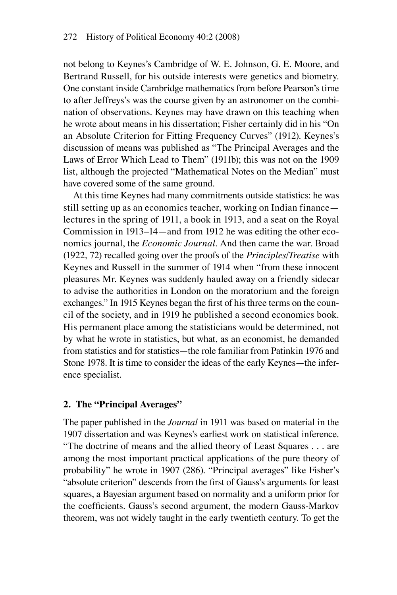not belong to Keynes's Cambridge of W. E. Johnson, G. E. Moore, and Bertrand Russell, for his outside interests were genetics and biometry. One constant inside Cambridge mathematics from before Pearson's time to after Jeffreys's was the course given by an astronomer on the combination of observations. Keynes may have drawn on this teaching when he wrote about means in his dissertation; Fisher certainly did in his "On an Absolute Criterion for Fitting Frequency Curves" (1912). Keynes's discussion of means was published as "The Principal Averages and the Laws of Error Which Lead to Them" (1911b); this was not on the 1909 list, although the projected "Mathematical Notes on the Median" must have covered some of the same ground.

At this time Keynes had many commitments outside statistics: he was still setting up as an economics teacher, working on Indian finance lectures in the spring of 1911, a book in 1913, and a seat on the Royal Commission in 1913–14—and from 1912 he was editing the other economics journal, the *Economic Journal*. And then came the war. Broad (1922, 72) recalled going over the proofs of the *Principles*/*Treatise* with Keynes and Russell in the summer of 1914 when "from these innocent pleasures Mr. Keynes was suddenly hauled away on a friendly sidecar to advise the authorities in London on the moratorium and the foreign exchanges." In 1915 Keynes began the first of his three terms on the council of the society, and in 1919 he published a second economics book. His permanent place among the statisticians would be determined, not by what he wrote in statistics, but what, as an economist, he demanded from statistics and for statistics—the role familiar from Patinkin 1976 and Stone 1978. It is time to consider the ideas of the early Keynes—the inference specialist.

#### **2. The "Principal Averages"**

The paper published in the *Journal* in 1911 was based on material in the 1907 dissertation and was Keynes's earliest work on statistical inference. "The doctrine of means and the allied theory of Least Squares . . . are among the most important practical applications of the pure theory of probability" he wrote in 1907 (286). "Principal averages" like Fisher's "absolute criterion" descends from the first of Gauss's arguments for least squares, a Bayesian argument based on normality and a uniform prior for the coefficients. Gauss's second argument, the modern Gauss-Markov theorem, was not widely taught in the early twentieth century. To get the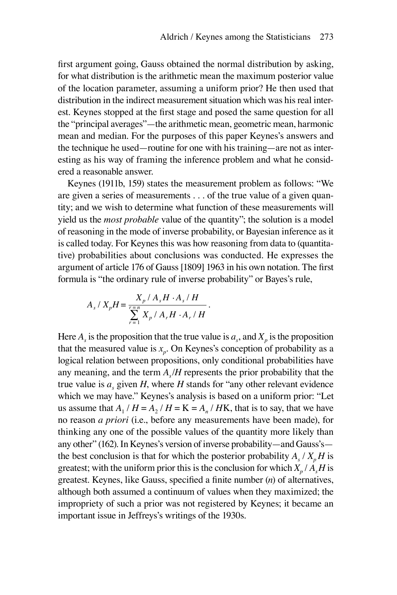first argument going, Gauss obtained the normal distribution by asking, for what distribution is the arithmetic mean the maximum posterior value of the location parameter, assuming a uniform prior? He then used that distribution in the indirect measurement situation which was his real interest. Keynes stopped at the first stage and posed the same question for all the "principal averages"—the arithmetic mean, geometric mean, harmonic mean and median. For the purposes of this paper Keynes's answers and the technique he used—routine for one with his training—are not as interesting as his way of framing the inference problem and what he considered a reasonable answer.

Keynes (1911b, 159) states the measurement problem as follows: "We are given a series of measurements . . . of the true value of a given quantity; and we wish to determine what function of these measurements will yield us the *most probable* value of the quantity"; the solution is a model of reasoning in the mode of inverse probability, or Bayesian inference as it is called today. For Keynes this was how reasoning from data to (quantitative) probabilities about conclusions was conducted. He expresses the argument of article 176 of Gauss [1809] 1963 in his own notation. The first formula is "the ordinary rule of inverse probability" or Bayes's rule,

$$
A_{s} / X_{p} H = \frac{X_{p} / A_{s} H \cdot A_{s} / H}{\sum_{r=1}^{+\infty} X_{p} / A_{r} H \cdot A_{r} / H}.
$$

Here  $A_s$  is the proposition that the true value is  $a_s$ , and  $X_p$  is the proposition that the measured value is  $x_p$ . On Keynes's conception of probability as a logical relation between propositions, only conditional probabilities have any meaning, and the term  $A<sub>s</sub>/H$  represents the prior probability that the true value is  $a_s$  given  $H$ , where  $H$  stands for "any other relevant evidence" which we may have." Keynes's analysis is based on a uniform prior: "Let us assume that  $A_1 / H = A_2 / H = K = A_n / HK$ , that is to say, that we have no reason *a priori* (i.e., before any measurements have been made), for thinking any one of the possible values of the quantity more likely than any other" (162). In Keynes's version of inverse probability—and Gauss's the best conclusion is that for which the posterior probability  $A_s / X_p H$  is greatest; with the uniform prior this is the conclusion for which  $X_p / A_s H$  is greatest. Keynes, like Gauss, specified a finite number (*n*) of alternatives, although both assumed a continuum of values when they maximized; the impropriety of such a prior was not registered by Keynes; it became an important issue in Jeffreys's writings of the 1930s.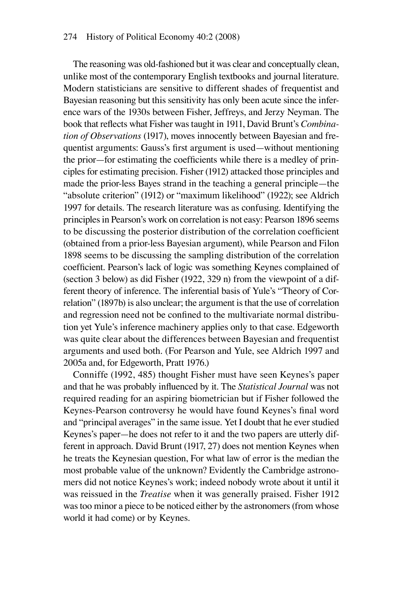The reasoning was old-fashioned but it was clear and conceptually clean, unlike most of the contemporary English textbooks and journal literature. Modern statisticians are sensitive to different shades of frequentist and Bayesian reasoning but this sensitivity has only been acute since the inference wars of the 1930s between Fisher, Jeffreys, and Jerzy Neyman. The book that reflects what Fisher was taught in 1911, David Brunt's *Combination of Observations* (1917), moves innocently between Bayesian and frequentist arguments: Gauss's first argument is used—without mentioning the prior—for estimating the coefficients while there is a medley of principles for estimating precision. Fisher (1912) attacked those principles and made the prior-less Bayes strand in the teaching a general principle—the "absolute criterion" (1912) or "maximum likelihood" (1922); see Aldrich 1997 for details. The research literature was as confusing. Identifying the principles in Pearson's work on correlation is not easy: Pearson 1896 seems to be discussing the posterior distribution of the correlation coefficient (obtained from a prior-less Bayesian argument), while Pearson and Filon 1898 seems to be discussing the sampling distribution of the correlation coefficient. Pearson's lack of logic was something Keynes complained of (section 3 below) as did Fisher (1922, 329 n) from the viewpoint of a different theory of inference. The inferential basis of Yule's "Theory of Correlation" (1897b) is also unclear; the argument is that the use of correlation and regression need not be confined to the multivariate normal distribution yet Yule's inference machinery applies only to that case. Edgeworth was quite clear about the differences between Bayesian and frequentist arguments and used both. (For Pearson and Yule, see Aldrich 1997 and 2005a and, for Edgeworth, Pratt 1976.)

Conniffe (1992, 485) thought Fisher must have seen Keynes's paper and that he was probably influenced by it. The *Statistical Journal* was not required reading for an aspiring biometrician but if Fisher followed the Keynes-Pearson controversy he would have found Keynes's final word and "principal averages" in the same issue. Yet I doubt that he ever studied Keynes's paper—he does not refer to it and the two papers are utterly different in approach. David Brunt (1917, 27) does not mention Keynes when he treats the Keynesian question, For what law of error is the median the most probable value of the unknown? Evidently the Cambridge astronomers did not notice Keynes's work; indeed nobody wrote about it until it was reissued in the *Treatise* when it was generally praised. Fisher 1912 was too minor a piece to be noticed either by the astronomers (from whose world it had come) or by Keynes.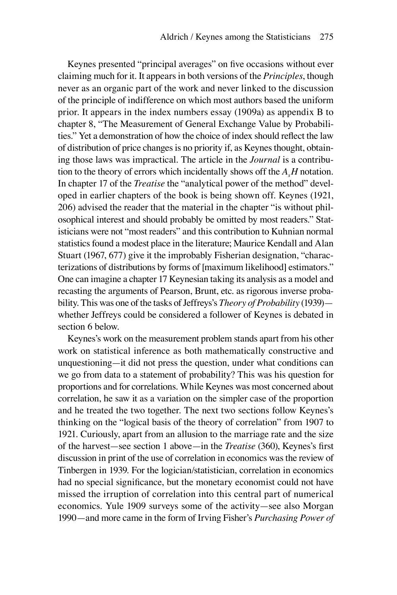Keynes presented "principal averages" on five occasions without ever claiming much for it. It appears in both versions of the *Principles*, though never as an organic part of the work and never linked to the discussion of the principle of indifference on which most authors based the uniform prior. It appears in the index numbers essay (1909a) as appendix B to chapter 8, "The Measurement of General Exchange Value by Probabilities." Yet a demonstration of how the choice of index should reflect the law of distribution of price changes is no priority if, as Keynes thought, obtaining those laws was impractical. The article in the *Journal* is a contribution to the theory of errors which incidentally shows off the *A<sub>s</sub>H* notation. In chapter 17 of the *Treatise* the "analytical power of the method" developed in earlier chapters of the book is being shown off. Keynes (1921, 206) advised the reader that the material in the chapter "is without philosophical interest and should probably be omitted by most readers." Statisticians were not "most readers" and this contribution to Kuhnian normal statistics found a modest place in the literature; Maurice Kendall and Alan Stuart (1967, 677) give it the improbably Fisherian designation, "characterizations of distributions by forms of [maximum likelihood] estimators." One can imagine a chapter 17 Keynesian taking its analysis as a model and recasting the arguments of Pearson, Brunt, etc. as rigorous inverse probability. This was one of the tasks of Jeffreys's *Theory of Probability* (1939) whether Jeffreys could be considered a follower of Keynes is debated in section 6 below.

Keynes's work on the measurement problem stands apart from his other work on statistical inference as both mathematically constructive and unquestioning—it did not press the question, under what conditions can we go from data to a statement of probability? This was his question for proportions and for correlations. While Keynes was most concerned about correlation, he saw it as a variation on the simpler case of the proportion and he treated the two together. The next two sections follow Keynes's thinking on the "logical basis of the theory of correlation" from 1907 to 1921. Curiously, apart from an allusion to the marriage rate and the size of the harvest—see section 1 above—in the *Treatise* (360), Keynes's first discussion in print of the use of correlation in economics was the review of Tinbergen in 1939. For the logician/statistician, correlation in economics had no special significance, but the monetary economist could not have missed the irruption of correlation into this central part of numerical economics. Yule 1909 surveys some of the activity—see also Morgan 1990—and more came in the form of Irving Fisher's *Purchasing Power of*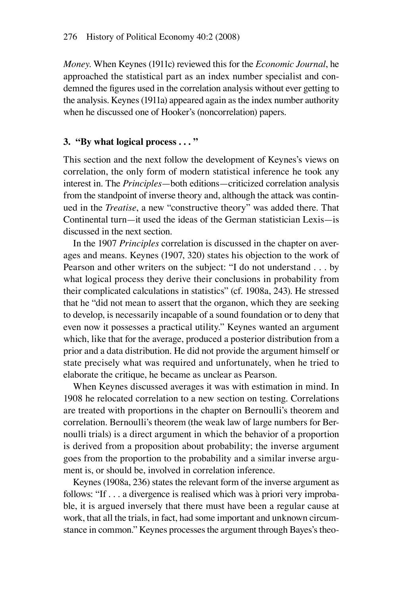*Money*. When Keynes (1911c) reviewed this for the *Economic Journal*, he approached the statistical part as an index number specialist and condemned the figures used in the correlation analysis without ever getting to the analysis. Keynes (1911a) appeared again as the index number authority when he discussed one of Hooker's (noncorrelation) papers.

### **3. "By what logical process . . . "**

This section and the next follow the development of Keynes's views on correlation, the only form of modern statistical inference he took any interest in. The *Principles*—both editions—criticized correlation analysis from the standpoint of inverse theory and, although the attack was continued in the *Treatise*, a new "constructive theory" was added there. That Continental turn—it used the ideas of the German statistician Lexis—is discussed in the next section.

In the 1907 *Principles* correlation is discussed in the chapter on averages and means. Keynes (1907, 320) states his objection to the work of Pearson and other writers on the subject: "I do not understand . . . by what logical process they derive their conclusions in probability from their complicated calculations in statistics" (cf. 1908a, 243). He stressed that he "did not mean to assert that the organon, which they are seeking to develop, is necessarily incapable of a sound foundation or to deny that even now it possesses a practical utility." Keynes wanted an argument which, like that for the average, produced a posterior distribution from a prior and a data distribution. He did not provide the argument himself or state precisely what was required and unfortunately, when he tried to elaborate the critique, he became as unclear as Pearson.

When Keynes discussed averages it was with estimation in mind. In 1908 he relocated correlation to a new section on testing. Correlations are treated with proportions in the chapter on Bernoulli's theorem and correlation. Bernoulli's theorem (the weak law of large numbers for Bernoulli trials) is a direct argument in which the behavior of a proportion is derived from a proposition about probability; the inverse argument goes from the proportion to the probability and a similar inverse argument is, or should be, involved in correlation inference.

Keynes (1908a, 236) states the relevant form of the inverse argument as follows: "If . . . a divergence is realised which was à priori very improbable, it is argued inversely that there must have been a regular cause at work, that all the trials, in fact, had some important and unknown circumstance in common." Keynes processes the argument through Bayes's theo-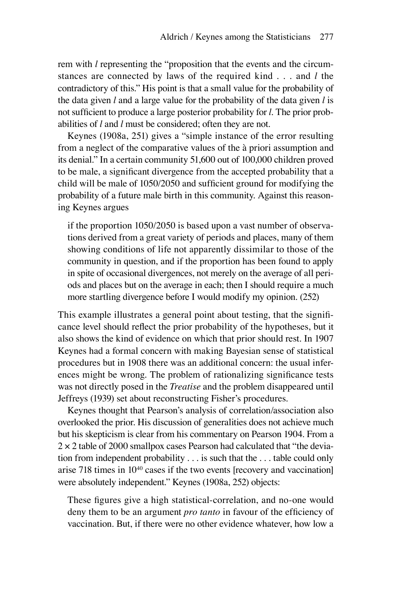rem with *l* representing the "proposition that the events and the circumstances are connected by laws of the required kind . . . and *l* the contradictory of this." His point is that a small value for the probability of the data given *l* and a large value for the probability of the data given *l* is not sufficient to produce a large posterior probability for *l*. The prior probabilities of *l* and *l* must be considered; often they are not.

Keynes (1908a, 251) gives a "simple instance of the error resulting from a neglect of the comparative values of the à priori assumption and its denial." In a certain community 51,600 out of 100,000 children proved to be male, a significant divergence from the accepted probability that a child will be male of 1050/2050 and sufficient ground for modifying the probability of a future male birth in this community. Against this reasoning Keynes argues

if the proportion 1050/2050 is based upon a vast number of observations derived from a great variety of periods and places, many of them showing conditions of life not apparently dissimilar to those of the community in question, and if the proportion has been found to apply in spite of occasional divergences, not merely on the average of all periods and places but on the average in each; then I should require a much more startling divergence before I would modify my opinion. (252)

This example illustrates a general point about testing, that the significance level should reflect the prior probability of the hypotheses, but it also shows the kind of evidence on which that prior should rest. In 1907 Keynes had a formal concern with making Bayesian sense of statistical procedures but in 1908 there was an additional concern: the usual inferences might be wrong. The problem of rationalizing significance tests was not directly posed in the *Treatise* and the problem disappeared until Jeffreys (1939) set about reconstructing Fisher's procedures.

Keynes thought that Pearson's analysis of correlation/association also overlooked the prior. His discussion of generalities does not achieve much but his skepticism is clear from his commentary on Pearson 1904. From a  $2 \times 2$  table of 2000 smallpox cases Pearson had calculated that "the deviation from independent probability . . . is such that the . . . table could only arise 718 times in 1040 cases if the two events [recovery and vaccination] were absolutely independent." Keynes (1908a, 252) objects:

These figures give a high statistical-correlation, and no-one would deny them to be an argument *pro tanto* in favour of the efficiency of vaccination. But, if there were no other evidence whatever, how low a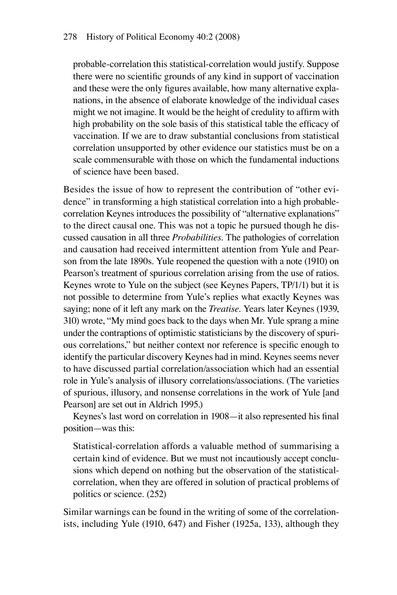probable-correlation this statistical-correlation would justify. Suppose there were no scientific grounds of any kind in support of vaccination and these were the only figures available, how many alternative explanations, in the absence of elaborate knowledge of the individual cases might we not imagine. It would be the height of credulity to affirm with high probability on the sole basis of this statistical table the efficacy of vaccination. If we are to draw substantial conclusions from statistical correlation unsupported by other evidence our statistics must be on a scale commensurable with those on which the fundamental inductions of science have been based.

Besides the issue of how to represent the contribution of "other evidence" in transforming a high statistical correlation into a high probablecorrelation Keynes introduces the possibility of "alternative explanations" to the direct causal one. This was not a topic he pursued though he discussed causation in all three *Probabilities*. The pathologies of correlation and causation had received intermittent attention from Yule and Pearson from the late 1890s. Yule reopened the question with a note (1910) on Pearson's treatment of spurious correlation arising from the use of ratios. Keynes wrote to Yule on the subject (see Keynes Papers, TP/1/1) but it is not possible to determine from Yule's replies what exactly Keynes was saying; none of it left any mark on the *Treatise*. Years later Keynes (1939, 310) wrote, "My mind goes back to the days when Mr. Yule sprang a mine under the contraptions of optimistic statisticians by the discovery of spurious correlations," but neither context nor reference is specific enough to identify the particular discovery Keynes had in mind. Keynes seems never to have discussed partial correlation/association which had an essential role in Yule's analysis of illusory correlations/associations. (The varieties of spurious, illusory, and nonsense correlations in the work of Yule [and Pearson] are set out in Aldrich 1995.)

Keynes's last word on correlation in 1908—it also represented his final position—was this:

Statistical-correlation affords a valuable method of summarising a certain kind of evidence. But we must not incautiously accept conclusions which depend on nothing but the observation of the statisticalcorrelation, when they are offered in solution of practical problems of politics or science. (252)

Similar warnings can be found in the writing of some of the correlationists, including Yule (1910, 647) and Fisher (1925a, 133), although they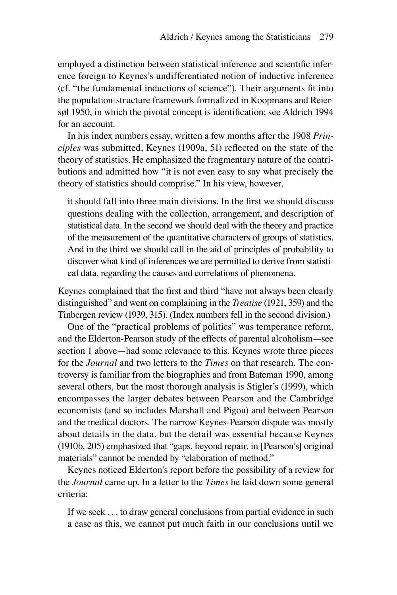employed a distinction between statistical inference and scientific inference foreign to Keynes's undifferentiated notion of inductive inference (cf. "the fundamental inductions of science"). Their arguments fi t into the population-structure framework formalized in Koopmans and Reiersøl 1950, in which the pivotal concept is identification; see Aldrich 1994 for an account.

In his index numbers essay, written a few months after the 1908 *Principles* was submitted, Keynes (1909a, 51) reflected on the state of the theory of statistics. He emphasized the fragmentary nature of the contributions and admitted how "it is not even easy to say what precisely the theory of statistics should comprise." In his view, however,

it should fall into three main divisions. In the first we should discuss questions dealing with the collection, arrangement, and description of statistical data. In the second we should deal with the theory and practice of the measurement of the quantitative characters of groups of statistics. And in the third we should call in the aid of principles of probability to discover what kind of inferences we are permitted to derive from statistical data, regarding the causes and correlations of phenomena.

Keynes complained that the first and third "have not always been clearly distinguished" and went on complaining in the *Treatise* (1921, 359) and the Tinbergen review (1939, 315). (Index numbers fell in the second division.)

One of the "practical problems of politics" was temperance reform, and the Elderton-Pearson study of the effects of parental alcoholism—see section 1 above—had some relevance to this. Keynes wrote three pieces for the *Journal* and two letters to the *Times* on that research. The controversy is familiar from the biographies and from Bateman 1990, among several others, but the most thorough analysis is Stigler's (1999), which encompasses the larger debates between Pearson and the Cambridge economists (and so includes Marshall and Pigou) and between Pearson and the medical doctors. The narrow Keynes-Pearson dispute was mostly about details in the data, but the detail was essential because Keynes (1910b, 205) emphasized that "gaps, beyond repair, in [Pearson's] original materials" cannot be mended by "elaboration of method."

Keynes noticed Elderton's report before the possibility of a review for the *Journal* came up. In a letter to the *Times* he laid down some general criteria:

If we seek . . . to draw general conclusions from partial evidence in such a case as this, we cannot put much faith in our conclusions until we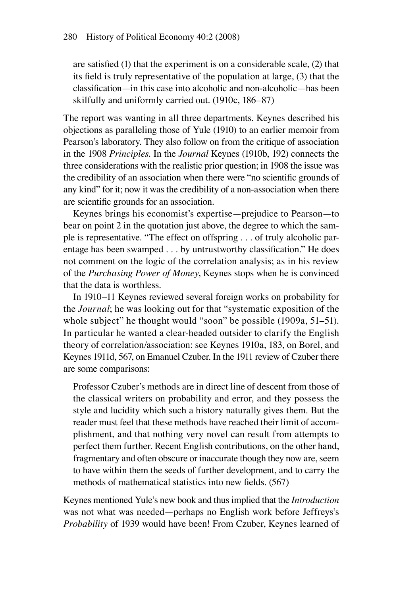are satisfied  $(1)$  that the experiment is on a considerable scale,  $(2)$  that its field is truly representative of the population at large, (3) that the classification—in this case into alcoholic and non-alcoholic—has been skilfully and uniformly carried out. (1910c, 186–87)

The report was wanting in all three departments. Keynes described his objections as paralleling those of Yule (1910) to an earlier memoir from Pearson's laboratory. They also follow on from the critique of association in the 1908 *Principles*. In the *Journal* Keynes (1910b, 192) connects the three considerations with the realistic prior question; in 1908 the issue was the credibility of an association when there were "no scientific grounds of any kind" for it; now it was the credibility of a non-association when there are scientific grounds for an association.

Keynes brings his economist's expertise—prejudice to Pearson—to bear on point 2 in the quotation just above, the degree to which the sample is representative. "The effect on offspring . . . of truly alcoholic parentage has been swamped  $\dots$  by untrustworthy classification." He does not comment on the logic of the correlation analysis; as in his review of the *Purchasing Power of Money*, Keynes stops when he is convinced that the data is worthless.

In 1910–11 Keynes reviewed several foreign works on probability for the *Journal*; he was looking out for that "systematic exposition of the whole subject" he thought would "soon" be possible (1909a, 51–51). In particular he wanted a clear-headed outsider to clarify the English theory of correlation/association: see Keynes 1910a, 183, on Borel, and Keynes 1911d, 567, on Emanuel Czuber. In the 1911 review of Czuber there are some comparisons:

Professor Czuber's methods are in direct line of descent from those of the classical writers on probability and error, and they possess the style and lucidity which such a history naturally gives them. But the reader must feel that these methods have reached their limit of accomplishment, and that nothing very novel can result from attempts to perfect them further. Recent English contributions, on the other hand, fragmentary and often obscure or inaccurate though they now are, seem to have within them the seeds of further development, and to carry the methods of mathematical statistics into new fields. (567)

Keynes mentioned Yule's new book and thus implied that the *Introduction* was not what was needed—perhaps no English work before Jeffreys's *Probability* of 1939 would have been! From Czuber, Keynes learned of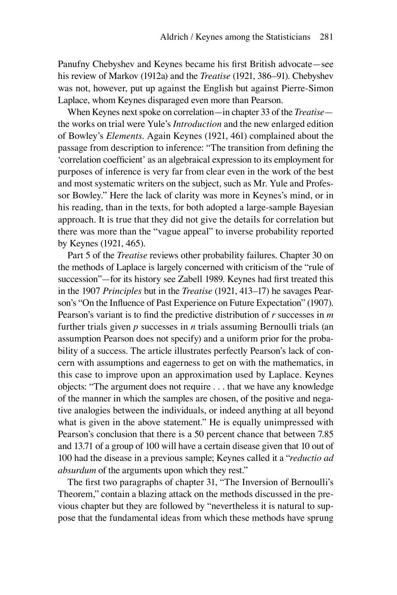Panufny Chebyshev and Keynes became his first British advocate—see his review of Markov (1912a) and the *Treatise* (1921, 386–91). Chebyshev was not, however, put up against the English but against Pierre-Simon Laplace, whom Keynes disparaged even more than Pearson.

When Keynes next spoke on correlation—in chapter 33 of the *Treatise* the works on trial were Yule's *Introduction* and the new enlarged edition of Bowley's *Elements*. Again Keynes (1921, 461) complained about the passage from description to inference: "The transition from defining the 'correlation coefficient' as an algebraical expression to its employment for purposes of inference is very far from clear even in the work of the best and most systematic writers on the subject, such as Mr. Yule and Professor Bowley." Here the lack of clarity was more in Keynes's mind, or in his reading, than in the texts, for both adopted a large-sample Bayesian approach. It is true that they did not give the details for correlation but there was more than the "vague appeal" to inverse probability reported by Keynes (1921, 465).

Part 5 of the *Treatise* reviews other probability failures. Chapter 30 on the methods of Laplace is largely concerned with criticism of the "rule of succession"—for its history see Zabell 1989. Keynes had first treated this in the 1907 *Principles* but in the *Treatise* (1921, 413–17) he savages Pearson's "On the Influence of Past Experience on Future Expectation" (1907). Pearson's variant is to find the predictive distribution of *r* successes in *m* further trials given *p* successes in *n* trials assuming Bernoulli trials (an assumption Pearson does not specify) and a uniform prior for the probability of a success. The article illustrates perfectly Pearson's lack of concern with assumptions and eagerness to get on with the mathematics, in this case to improve upon an approximation used by Laplace. Keynes objects: "The argument does not require . . . that we have any knowledge of the manner in which the samples are chosen, of the positive and negative analogies between the individuals, or indeed anything at all beyond what is given in the above statement." He is equally unimpressed with Pearson's conclusion that there is a 50 percent chance that between 7.85 and 13.71 of a group of 100 will have a certain disease given that 10 out of 100 had the disease in a previous sample; Keynes called it a "*reductio ad absurdum* of the arguments upon which they rest."

The first two paragraphs of chapter 31, "The Inversion of Bernoulli's Theorem," contain a blazing attack on the methods discussed in the previous chapter but they are followed by "nevertheless it is natural to suppose that the fundamental ideas from which these methods have sprung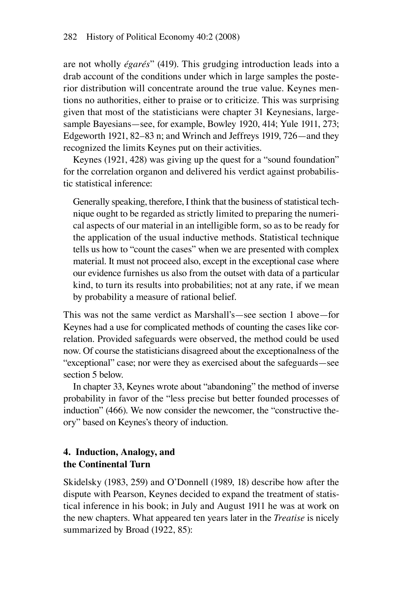are not wholly *égarés*" (419). This grudging introduction leads into a drab account of the conditions under which in large samples the posterior distribution will concentrate around the true value. Keynes mentions no authorities, either to praise or to criticize. This was surprising given that most of the statisticians were chapter 31 Keynesians, largesample Bayesians—see, for example, Bowley 1920, 414; Yule 1911, 273; Edgeworth 1921, 82–83 n; and Wrinch and Jeffreys 1919, 726—and they recognized the limits Keynes put on their activities.

Keynes (1921, 428) was giving up the quest for a "sound foundation" for the correlation organon and delivered his verdict against probabilistic statistical inference:

Generally speaking, therefore, I think that the business of statistical technique ought to be regarded as strictly limited to preparing the numerical aspects of our material in an intelligible form, so as to be ready for the application of the usual inductive methods. Statistical technique tells us how to "count the cases" when we are presented with complex material. It must not proceed also, except in the exceptional case where our evidence furnishes us also from the outset with data of a particular kind, to turn its results into probabilities; not at any rate, if we mean by probability a measure of rational belief.

This was not the same verdict as Marshall's—see section 1 above—for Keynes had a use for complicated methods of counting the cases like correlation. Provided safeguards were observed, the method could be used now. Of course the statisticians disagreed about the exceptionalness of the "exceptional" case; nor were they as exercised about the safeguards—see section 5 below.

In chapter 33, Keynes wrote about "abandoning" the method of inverse probability in favor of the "less precise but better founded processes of induction" (466). We now consider the newcomer, the "constructive theory" based on Keynes's theory of induction.

# **4. Induction, Analogy, and the Continental Turn**

Skidelsky (1983, 259) and O'Donnell (1989, 18) describe how after the dispute with Pearson, Keynes decided to expand the treatment of statistical inference in his book; in July and August 1911 he was at work on the new chapters. What appeared ten years later in the *Treatise* is nicely summarized by Broad (1922, 85):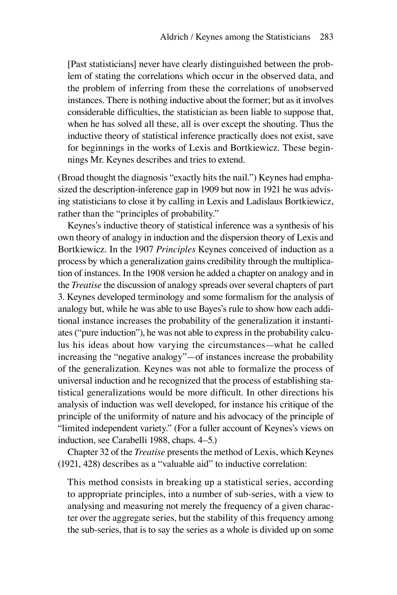[Past statisticians] never have clearly distinguished between the problem of stating the correlations which occur in the observed data, and the problem of inferring from these the correlations of unobserved instances. There is nothing inductive about the former; but as it involves considerable difficulties, the statistician as been liable to suppose that, when he has solved all these, all is over except the shouting. Thus the inductive theory of statistical inference practically does not exist, save for beginnings in the works of Lexis and Bortkiewicz. These beginnings Mr. Keynes describes and tries to extend.

(Broad thought the diagnosis "exactly hits the nail.") Keynes had emphasized the description-inference gap in 1909 but now in 1921 he was advising statisticians to close it by calling in Lexis and Ladislaus Bortkiewicz, rather than the "principles of probability."

Keynes's inductive theory of statistical inference was a synthesis of his own theory of analogy in induction and the dispersion theory of Lexis and Bortkiewicz. In the 1907 *Principles* Keynes conceived of induction as a process by which a generalization gains credibility through the multiplication of instances. In the 1908 version he added a chapter on analogy and in the *Treatise* the discussion of analogy spreads over several chapters of part 3. Keynes developed terminology and some formalism for the analysis of analogy but, while he was able to use Bayes's rule to show how each additional instance increases the probability of the generalization it instantiates ("pure induction"), he was not able to express in the probability calculus his ideas about how varying the circumstances—what he called increasing the "negative analogy"—of instances increase the probability of the generalization. Keynes was not able to formalize the process of universal induction and he recognized that the process of establishing statistical generalizations would be more difficult. In other directions his analysis of induction was well developed, for instance his critique of the principle of the uniformity of nature and his advocacy of the principle of "limited independent variety." (For a fuller account of Keynes's views on induction, see Carabelli 1988, chaps. 4–5.)

Chapter 32 of the *Treatise* presents the method of Lexis, which Keynes (1921, 428) describes as a "valuable aid" to inductive correlation:

This method consists in breaking up a statistical series, according to appropriate principles, into a number of sub-series, with a view to analysing and measuring not merely the frequency of a given character over the aggregate series, but the stability of this frequency among the sub-series, that is to say the series as a whole is divided up on some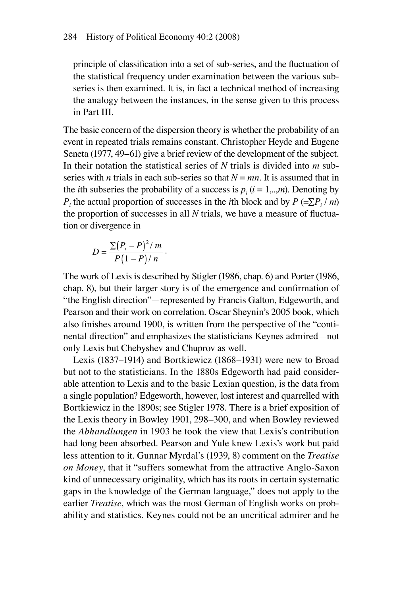principle of classification into a set of sub-series, and the fluctuation of the statistical frequency under examination between the various subseries is then examined. It is, in fact a technical method of increasing the analogy between the instances, in the sense given to this process in Part III.

The basic concern of the dispersion theory is whether the probability of an event in repeated trials remains constant. Christopher Heyde and Eugene Seneta (1977, 49–61) give a brief review of the development of the subject. In their notation the statistical series of *N* trials is divided into *m* subseries with *n* trials in each sub-series so that  $N = mn$ . It is assumed that in the *i*th subseries the probability of a success is  $p_i$  ( $i = 1,...,m$ ). Denoting by *P<sub>i</sub>* the actual proportion of successes in the *i*th block and by  $P$  (= $\sum P_i$  / *m*) the proportion of successes in all  $N$  trials, we have a measure of fluctuation or divergence in

$$
D=\frac{\sum (P_i-P)^2/m}{P(1-P)/n}.
$$

The work of Lexis is described by Stigler (1986, chap. 6) and Porter (1986, chap. 8), but their larger story is of the emergence and confirmation of "the English direction"—represented by Francis Galton, Edgeworth, and Pearson and their work on correlation. Oscar Sheynin's 2005 book, which also finishes around 1900, is written from the perspective of the "continental direction" and emphasizes the statisticians Keynes admired—not only Lexis but Chebyshev and Chuprov as well.

Lexis (1837–1914) and Bortkiewicz (1868–1931) were new to Broad but not to the statisticians. In the 1880s Edgeworth had paid considerable attention to Lexis and to the basic Lexian question, is the data from a single population? Edgeworth, however, lost interest and quarrelled with Bortkiewicz in the 1890s; see Stigler 1978. There is a brief exposition of the Lexis theory in Bowley 1901, 298–300, and when Bowley reviewed the *Abhandlungen* in 1903 he took the view that Lexis's contribution had long been absorbed. Pearson and Yule knew Lexis's work but paid less attention to it. Gunnar Myrdal's (1939, 8) comment on the *Treatise on Money*, that it "suffers somewhat from the attractive Anglo-Saxon kind of unnecessary originality, which has its roots in certain systematic gaps in the knowledge of the German language," does not apply to the earlier *Treatise*, which was the most German of English works on probability and statistics. Keynes could not be an uncritical admirer and he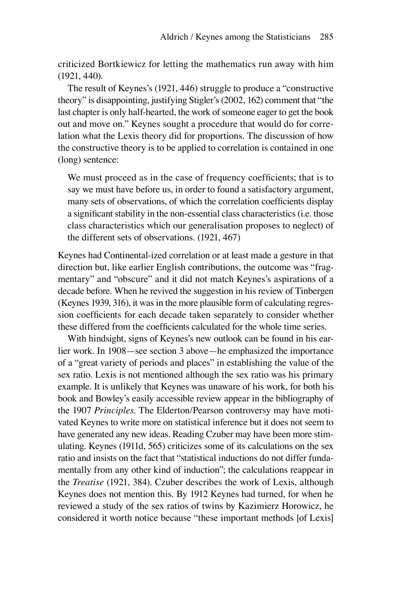criticized Bortkiewicz for letting the mathematics run away with him (1921, 440).

The result of Keynes's (1921, 446) struggle to produce a "constructive theory" is disappointing, justifying Stigler's (2002, 162) comment that "the last chapter is only half-hearted, the work of someone eager to get the book out and move on." Keynes sought a procedure that would do for correlation what the Lexis theory did for proportions. The discussion of how the constructive theory is to be applied to correlation is contained in one (long) sentence:

We must proceed as in the case of frequency coefficients; that is to say we must have before us, in order to found a satisfactory argument, many sets of observations, of which the correlation coefficients display a significant stability in the non-essential class characteristics (i.e. those class characteristics which our generalisation proposes to neglect) of the different sets of observations. (1921, 467)

Keynes had Continental-ized correlation or at least made a gesture in that direction but, like earlier English contributions, the outcome was "fragmentary" and "obscure" and it did not match Keynes's aspirations of a decade before. When he revived the suggestion in his review of Tinbergen (Keynes 1939, 316), it was in the more plausible form of calculating regression coefficients for each decade taken separately to consider whether these differed from the coefficients calculated for the whole time series.

With hindsight, signs of Keynes's new outlook can be found in his earlier work. In 1908—see section 3 above—he emphasized the importance of a "great variety of periods and places" in establishing the value of the sex ratio. Lexis is not mentioned although the sex ratio was his primary example. It is unlikely that Keynes was unaware of his work, for both his book and Bowley's easily accessible review appear in the bibliography of the 1907 *Principles*. The Elderton/Pearson controversy may have motivated Keynes to write more on statistical inference but it does not seem to have generated any new ideas. Reading Czuber may have been more stimulating. Keynes (1911d, 565) criticizes some of its calculations on the sex ratio and insists on the fact that "statistical inductions do not differ fundamentally from any other kind of induction"; the calculations reappear in the *Treatise* (1921, 384). Czuber describes the work of Lexis, although Keynes does not mention this. By 1912 Keynes had turned, for when he reviewed a study of the sex ratios of twins by Kazimierz Horowicz, he considered it worth notice because "these important methods [of Lexis]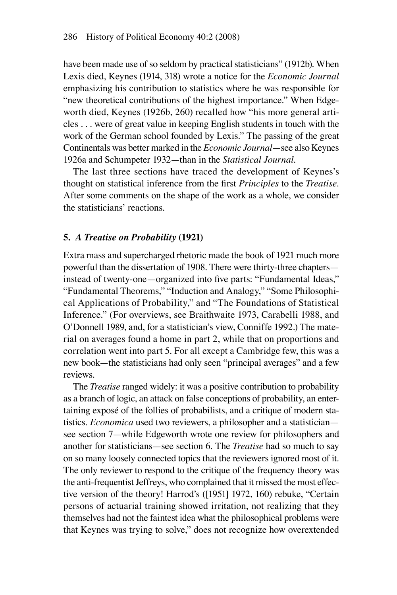have been made use of so seldom by practical statisticians" (1912b). When Lexis died, Keynes (1914, 318) wrote a notice for the *Economic Journal* emphasizing his contribution to statistics where he was responsible for "new theoretical contributions of the highest importance." When Edgeworth died, Keynes (1926b, 260) recalled how "his more general articles . . . were of great value in keeping English students in touch with the work of the German school founded by Lexis." The passing of the great Continentals was better marked in the *Economic Journal*—see also Keynes 1926a and Schumpeter 1932—than in the *Statistical Journal*.

The last three sections have traced the development of Keynes's thought on statistical inference from the first *Principles* to the *Treatise*. After some comments on the shape of the work as a whole, we consider the statisticians' reactions.

#### **5.** *A Treatise on Probability* **(1921)**

Extra mass and supercharged rhetoric made the book of 1921 much more powerful than the dissertation of 1908. There were thirty-three chapters instead of twenty-one—organized into five parts: "Fundamental Ideas," "Fundamental Theorems," "Induction and Analogy," "Some Philosophical Applications of Probability," and "The Foundations of Statistical Inference." (For overviews, see Braithwaite 1973, Carabelli 1988, and O'Don nell 1989, and, for a statistician's view, Conniffe 1992.) The material on averages found a home in part 2, while that on proportions and correlation went into part 5. For all except a Cambridge few, this was a new book—the statisticians had only seen "principal averages" and a few reviews.

The *Treatise* ranged widely: it was a positive contribution to probability as a branch of logic, an attack on false conceptions of probability, an entertaining exposé of the follies of probabilists, and a critique of modern statistics. *Economica* used two reviewers, a philosopher and a statistician see section 7—while Edgeworth wrote one review for philosophers and another for statisticians—see section 6. The *Treatise* had so much to say on so many loosely connected topics that the reviewers ignored most of it. The only reviewer to respond to the critique of the frequency theory was the anti-frequentist Jeffreys, who complained that it missed the most effective version of the theory! Harrod's ([1951] 1972, 160) rebuke, "Certain persons of actuarial training showed irritation, not realizing that they themselves had not the faintest idea what the philosophical problems were that Keynes was trying to solve," does not recognize how overextended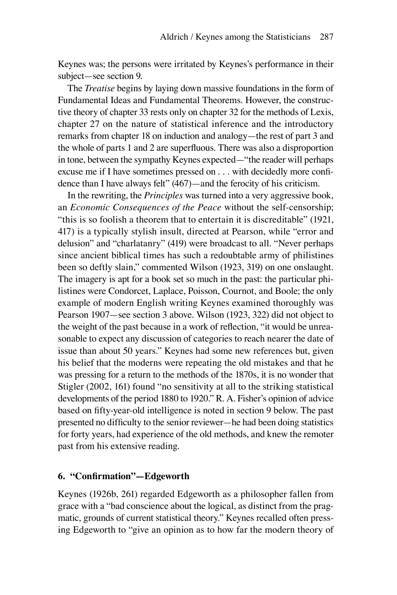Keynes was; the persons were irritated by Keynes's performance in their subject—see section 9.

The *Treatise* begins by laying down massive foundations in the form of Fundamental Ideas and Fundamental Theorems. However, the constructive theory of chapter 33 rests only on chapter 32 for the methods of Lexis, chapter 27 on the nature of statistical inference and the introductory remarks from chapter 18 on induction and analogy—the rest of part 3 and the whole of parts 1 and 2 are superfluous. There was also a disproportion in tone, between the sympathy Keynes expected—"the reader will perhaps excuse me if I have sometimes pressed on . . . with decidedly more confidence than I have always felt" (467)—and the ferocity of his criticism.

In the rewriting, the *Principles* was turned into a very aggressive book, an *Economic Consequences of the Peace* without the self-censorship; "this is so foolish a theorem that to entertain it is discreditable" (1921, 417) is a typically stylish insult, directed at Pearson, while "error and delusion" and "charlatanry" (419) were broadcast to all. "Never perhaps since ancient biblical times has such a redoubtable army of philistines been so deftly slain," commented Wilson (1923, 319) on one onslaught. The imagery is apt for a book set so much in the past: the particular philistines were Condorcet, Laplace, Poisson, Cournot, and Boole; the only example of modern English writing Keynes examined thoroughly was Pearson 1907—see section 3 above. Wilson (1923, 322) did not object to the weight of the past because in a work of reflection, "it would be unreasonable to expect any discussion of categories to reach nearer the date of issue than about 50 years." Keynes had some new references but, given his belief that the moderns were repeating the old mistakes and that he was pressing for a return to the methods of the 1870s, it is no wonder that Stigler (2002, 161) found "no sensitivity at all to the striking statistical developments of the period 1880 to 1920." R. A. Fisher's opinion of advice based on fifty-year-old intelligence is noted in section 9 below. The past presented no difficulty to the senior reviewer—he had been doing statistics for forty years, had experience of the old methods, and knew the remoter past from his extensive reading.

#### **6. "Confirmation"—Edgeworth**

Keynes (1926b, 261) regarded Edgeworth as a philosopher fallen from grace with a "bad conscience about the logical, as distinct from the pragmatic, grounds of current statistical theory." Keynes recalled often pressing Edgeworth to "give an opinion as to how far the modern theory of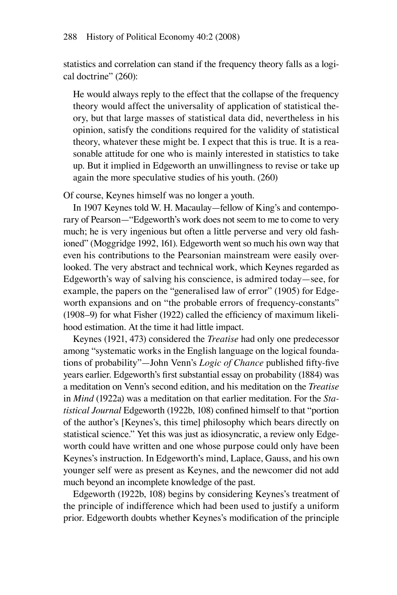statistics and correlation can stand if the frequency theory falls as a logical doctrine" (260):

He would always reply to the effect that the collapse of the frequency theory would affect the universality of application of statistical theory, but that large masses of statistical data did, nevertheless in his opinion, satisfy the conditions required for the validity of statistical theory, whatever these might be. I expect that this is true. It is a reasonable attitude for one who is mainly interested in statistics to take up. But it implied in Edgeworth an unwillingness to revise or take up again the more speculative studies of his youth. (260)

Of course, Keynes himself was no longer a youth.

In 1907 Keynes told W. H. Macaulay—fellow of King's and contemporary of Pearson—"Edgeworth's work does not seem to me to come to very much; he is very ingenious but often a little perverse and very old fashioned" (Moggridge 1992, 161). Edgeworth went so much his own way that even his contributions to the Pearsonian mainstream were easily overlooked. The very abstract and technical work, which Keynes regarded as Edgeworth's way of salving his conscience, is admired today—see, for example, the papers on the "generalised law of error" (1905) for Edgeworth expansions and on "the probable errors of frequency-constants"  $(1908-9)$  for what Fisher  $(1922)$  called the efficiency of maximum likelihood estimation. At the time it had little impact.

Keynes (1921, 473) considered the *Treatise* had only one predecessor among "systematic works in the English language on the logical foundations of probability"—John Venn's *Logic of Chance* published fifty-five years earlier. Edgeworth's first substantial essay on probability (1884) was a meditation on Venn's second edition, and his meditation on the *Treatise* in *Mind* (1922a) was a meditation on that earlier meditation. For the *Statistical Journal* Edgeworth (1922b, 108) confined himself to that "portion of the author's [Keynes's, this time] philosophy which bears directly on statistical science." Yet this was just as idiosyncratic, a review only Edgeworth could have written and one whose purpose could only have been Keynes's instruction. In Edgeworth's mind, Laplace, Gauss, and his own younger self were as present as Keynes, and the newcomer did not add much beyond an incomplete knowledge of the past.

Edgeworth (1922b, 108) begins by considering Keynes's treatment of the principle of indifference which had been used to justify a uniform prior. Edgeworth doubts whether Keynes's modification of the principle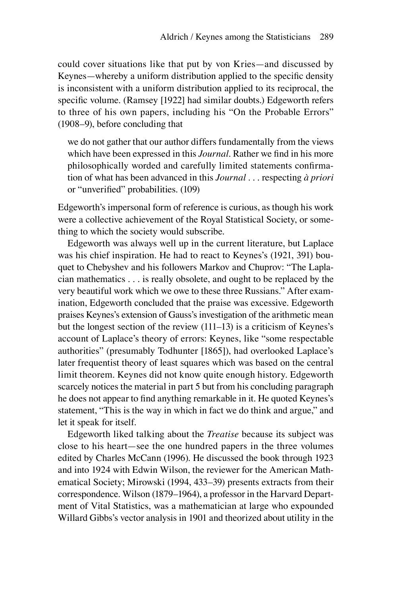could cover situations like that put by von Kries—and discussed by Keynes—whereby a uniform distribution applied to the specific density is inconsistent with a uniform distribution applied to its reciprocal, the specific volume. (Ramsey [1922] had similar doubts.) Edgeworth refers to three of his own papers, including his "On the Probable Errors" (1908–9), before concluding that

we do not gather that our author differs fundamentally from the views which have been expressed in this *Journal*. Rather we find in his more philosophically worded and carefully limited statements confirmation of what has been advanced in this *Journal* . . . respecting *à priori* or "unverified" probabilities. (109)

Edgeworth's impersonal form of reference is curious, as though his work were a collective achievement of the Royal Statistical Society, or something to which the society would subscribe.

Edgeworth was always well up in the current literature, but Laplace was his chief inspiration. He had to react to Keynes's (1921, 391) bouquet to Chebyshev and his followers Markov and Chuprov: "The Laplacian mathematics . . . is really obsolete, and ought to be replaced by the very beautiful work which we owe to these three Russians." After examination, Edgeworth concluded that the praise was excessive. Edgeworth praises Keynes's extension of Gauss's investigation of the arithmetic mean but the longest section of the review (111–13) is a criticism of Keynes's account of Laplace's theory of errors: Keynes, like "some respectable authorities" (presumably Todhunter [1865]), had overlooked Laplace's later frequentist theory of least squares which was based on the central limit theorem. Keynes did not know quite enough history. Edgeworth scarcely notices the material in part 5 but from his concluding paragraph he does not appear to find anything remarkable in it. He quoted Keynes's statement, "This is the way in which in fact we do think and argue," and let it speak for itself.

Edgeworth liked talking about the *Treatise* because its subject was close to his heart—see the one hundred papers in the three volumes edited by Charles McCann (1996). He discussed the book through 1923 and into 1924 with Edwin Wilson, the reviewer for the American Mathematical Society; Mirowski (1994, 433–39) presents extracts from their correspondence. Wilson (1879–1964), a professor in the Harvard Department of Vital Statistics, was a mathematician at large who expounded Willard Gibbs's vector analysis in 1901 and theorized about utility in the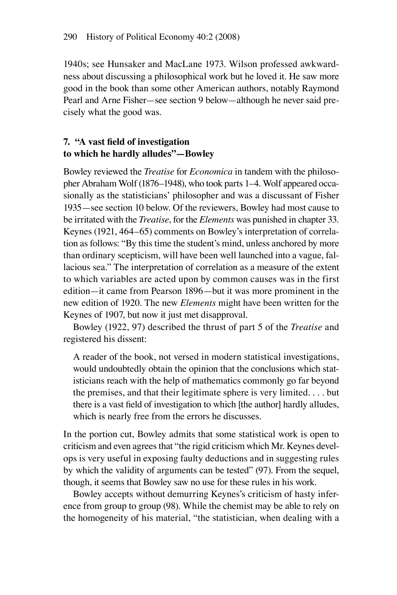1940s; see Hunsaker and MacLane 1973. Wilson professed awkwardness about discussing a philosophical work but he loved it. He saw more good in the book than some other American authors, notably Raymond Pearl and Arne Fisher—see section 9 below—although he never said precisely what the good was.

## **7.** "A vast field of investigation **to which he hardly alludes"—Bowley**

Bowley reviewed the *Treatise* for *Economica* in tandem with the philosopher Abraham Wolf (1876–1948), who took parts 1–4. Wolf appeared occasionally as the statisticians' philosopher and was a discussant of Fisher 1935—see section 10 below. Of the reviewers, Bowley had most cause to be irritated with the *Treatise*, for the *Elements* was punished in chapter 33. Keynes (1921, 464–65) comments on Bowley's interpretation of correlation as follows: "By this time the student's mind, unless anchored by more than ordinary scepticism, will have been well launched into a vague, fallacious sea." The interpretation of correlation as a measure of the extent to which variables are acted upon by common causes was in the first edition—it came from Pearson 1896—but it was more prominent in the new edition of 1920. The new *Elements* might have been written for the Keynes of 1907, but now it just met disapproval.

Bowley (1922, 97) described the thrust of part 5 of the *Treatise* and registered his dissent:

A reader of the book, not versed in modern statistical investigations, would undoubtedly obtain the opinion that the conclusions which statisticians reach with the help of mathematics commonly go far beyond the premises, and that their legitimate sphere is very limited. . . . but there is a vast field of investigation to which [the author] hardly alludes, which is nearly free from the errors he discusses.

In the portion cut, Bowley admits that some statistical work is open to criticism and even agrees that "the rigid criticism which Mr. Keynes develops is very useful in exposing faulty deductions and in suggesting rules by which the validity of arguments can be tested" (97). From the sequel, though, it seems that Bowley saw no use for these rules in his work.

Bowley accepts without demurring Keynes's criticism of hasty inference from group to group (98). While the chemist may be able to rely on the homogeneity of his material, "the statistician, when dealing with a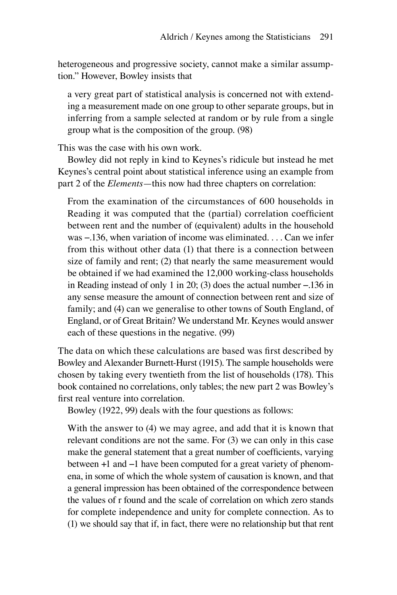heterogeneous and progressive society, cannot make a similar assumption." However, Bowley insists that

a very great part of statistical analysis is concerned not with extending a measurement made on one group to other separate groups, but in inferring from a sample selected at random or by rule from a single group what is the composition of the group. (98)

This was the case with his own work.

Bowley did not reply in kind to Keynes's ridicule but instead he met Keynes's central point about statistical inference using an example from part 2 of the *Elements*—this now had three chapters on correlation:

From the examination of the circumstances of 600 households in Reading it was computed that the (partial) correlation coefficient between rent and the number of (equivalent) adults in the household was −.136, when variation of income was eliminated. . . . Can we infer from this without other data (1) that there is a connection between size of family and rent; (2) that nearly the same measurement would be obtained if we had examined the 12,000 working-class households in Reading instead of only 1 in 20; (3) does the actual number −.136 in any sense measure the amount of connection between rent and size of family; and (4) can we generalise to other towns of South England, of England, or of Great Britain? We understand Mr. Keynes would answer each of these questions in the negative. (99)

The data on which these calculations are based was first described by Bowley and Alexander Burnett-Hurst (1915). The sample households were chosen by taking every twentieth from the list of households (178). This book contained no correlations, only tables; the new part 2 was Bowley's first real venture into correlation.

Bowley (1922, 99) deals with the four questions as follows:

With the answer to (4) we may agree, and add that it is known that relevant conditions are not the same. For (3) we can only in this case make the general statement that a great number of coefficients, varying between +1 and −1 have been computed for a great variety of phenomena, in some of which the whole system of causation is known, and that a general impression has been obtained of the correspondence between the values of r found and the scale of correlation on which zero stands for complete independence and unity for complete connection. As to (1) we should say that if, in fact, there were no relationship but that rent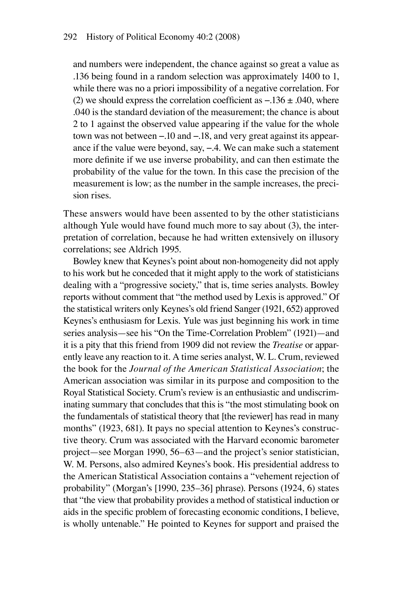and numbers were independent, the chance against so great a value as .136 being found in a random selection was approximately 1400 to 1, while there was no a priori impossibility of a negative correlation. For (2) we should express the correlation coefficient as  $-.136 \pm .040$ , where .040 is the standard deviation of the measurement; the chance is about 2 to 1 against the observed value appearing if the value for the whole town was not between −.10 and −.18, and very great against its appearance if the value were beyond, say, −.4. We can make such a statement more definite if we use inverse probability, and can then estimate the probability of the value for the town. In this case the precision of the measurement is low; as the number in the sample increases, the precision rises.

These answers would have been assented to by the other statisticians although Yule would have found much more to say about (3), the interpretation of correlation, because he had written extensively on illusory correlations; see Aldrich 1995.

Bowley knew that Keynes's point about non-homogeneity did not apply to his work but he conceded that it might apply to the work of statisticians dealing with a "progressive society," that is, time series analysts. Bowley reports without comment that "the method used by Lexis is approved." Of the statistical writers only Keynes's old friend Sanger (1921, 652) approved Keynes's enthusiasm for Lexis. Yule was just beginning his work in time series analysis—see his "On the Time-Correlation Problem" (1921)—and it is a pity that this friend from 1909 did not review the *Treatise* or apparently leave any reaction to it. A time series analyst, W. L. Crum, reviewed the book for the *Journal of the American Statistical Association*; the American association was similar in its purpose and composition to the Royal Statistical Society. Crum's review is an enthusiastic and undiscriminating summary that concludes that this is "the most stimulating book on the fundamentals of statistical theory that [the reviewer] has read in many months" (1923, 681). It pays no special attention to Keynes's constructive theory. Crum was associated with the Harvard economic barometer project—see Morgan 1990, 56–63—and the project's senior statistician, W. M. Persons, also admired Keynes's book. His presidential address to the American Statistical Association contains a "vehement rejection of probability" (Morgan's [1990, 235–36] phrase). Persons (1924, 6) states that "the view that probability provides a method of statistical induction or aids in the specific problem of forecasting economic conditions, I believe, is wholly untenable." He pointed to Keynes for support and praised the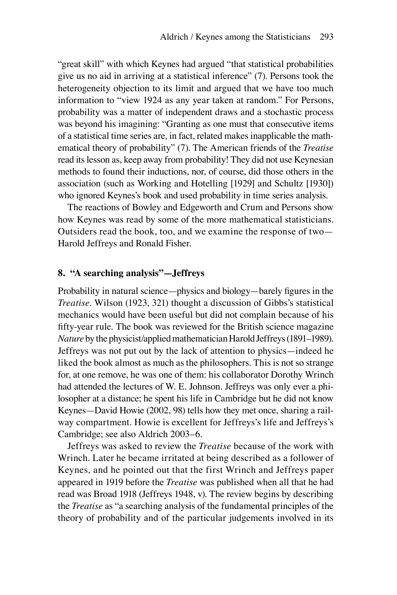"great skill" with which Keynes had argued "that statistical probabilities give us no aid in arriving at a statistical inference" (7). Persons took the heterogeneity objection to its limit and argued that we have too much information to "view 1924 as any year taken at random." For Persons, probability was a matter of independent draws and a stochastic process was beyond his imagining: "Granting as one must that consecutive items of a statistical time series are, in fact, related makes inapplicable the mathematical theory of probability" (7). The American friends of the *Treatise* read its lesson as, keep away from probability! They did not use Keynesian methods to found their inductions, nor, of course, did those others in the association (such as Working and Hotelling [1929] and Schultz [1930]) who ignored Keynes's book and used probability in time series analysis.

The reactions of Bowley and Edgeworth and Crum and Persons show how Keynes was read by some of the more mathematical statisticians. Outsiders read the book, too, and we examine the response of two— Harold Jeffreys and Ronald Fisher.

### **8. "A searching analysis"—Jeffreys**

Probability in natural science—physics and biology—barely figures in the *Treatise*. Wilson (1923, 321) thought a discussion of Gibbs's statistical mechanics would have been useful but did not complain because of his fifty-year rule. The book was reviewed for the British science magazine *Nature* by the physicist/applied mathematician Harold Jeffreys (1891–1989). Jeffreys was not put out by the lack of attention to physics—indeed he liked the book almost as much as the philosophers. This is not so strange for, at one remove, he was one of them: his collaborator Dorothy Wrinch had attended the lectures of W. E. Johnson. Jeffreys was only ever a philosopher at a distance; he spent his life in Cambridge but he did not know Keynes—David Howie (2002, 98) tells how they met once, sharing a railway compartment. Howie is excellent for Jeffreys's life and Jeffreys's Cambridge; see also Aldrich 2003–6.

Jeffreys was asked to review the *Treatise* because of the work with Wrinch. Later he became irritated at being described as a follower of Keynes, and he pointed out that the first Wrinch and Jeffreys paper appeared in 1919 before the *Treatise* was published when all that he had read was Broad 1918 (Jeffreys 1948, v). The review begins by describing the *Treatise* as "a searching analysis of the fundamental principles of the theory of probability and of the particular judgements involved in its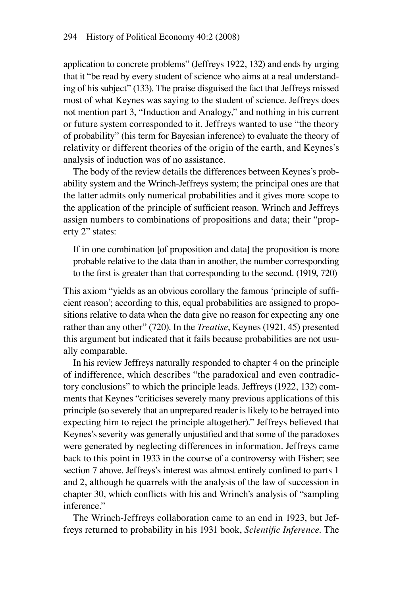application to concrete problems" (Jeffreys 1922, 132) and ends by urging that it "be read by every student of science who aims at a real understanding of his subject" (133). The praise disguised the fact that Jeffreys missed most of what Keynes was saying to the student of science. Jeffreys does not mention part 3, "Induction and Analogy," and nothing in his current or future system corresponded to it. Jeffreys wanted to use "the theory of probability" (his term for Bayesian inference) to evaluate the theory of relativity or different theories of the origin of the earth, and Keynes's analysis of induction was of no assistance.

The body of the review details the differences between Keynes's probability system and the Wrinch-Jeffreys system; the principal ones are that the latter admits only numerical probabilities and it gives more scope to the application of the principle of sufficient reason. Wrinch and Jeffreys assign numbers to combinations of propositions and data; their "property 2" states:

If in one combination [of proposition and data] the proposition is more probable relative to the data than in another, the number corresponding to the first is greater than that corresponding to the second. (1919, 720)

This axiom "yields as an obvious corollary the famous 'principle of sufficient reason'; according to this, equal probabilities are assigned to propositions relative to data when the data give no reason for expecting any one rather than any other" (720). In the *Treatise*, Keynes (1921, 45) presented this argument but indicated that it fails because probabilities are not usually comparable.

In his review Jeffreys naturally responded to chapter 4 on the principle of indifference, which describes "the paradoxical and even contradictory conclusions" to which the principle leads. Jeffreys (1922, 132) comments that Keynes "criticises severely many previous applications of this principle (so severely that an unprepared reader is likely to be betrayed into expecting him to reject the principle altogether)." Jeffreys believed that Keynes's severity was generally unjustified and that some of the paradoxes were generated by neglecting differences in information. Jeffreys came back to this point in 1933 in the course of a controversy with Fisher; see section 7 above. Jeffreys's interest was almost entirely confined to parts 1 and 2, although he quarrels with the analysis of the law of succession in chapter 30, which conflicts with his and Wrinch's analysis of "sampling inference."

The Wrinch-Jeffreys collaboration came to an end in 1923, but Jeffreys returned to probability in his 1931 book, *Scientific Inference*. The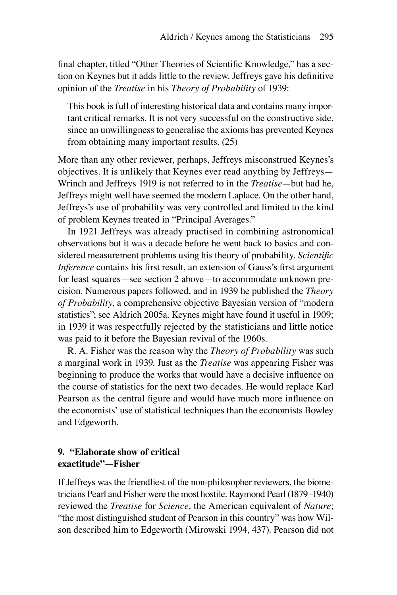final chapter, titled "Other Theories of Scientific Knowledge," has a section on Keynes but it adds little to the review. Jeffreys gave his definitive opinion of the *Treatise* in his *Theory of Probability* of 1939:

This book is full of interesting historical data and contains many important critical remarks. It is not very successful on the constructive side, since an unwillingness to generalise the axioms has prevented Keynes from obtaining many important results. (25)

More than any other reviewer, perhaps, Jeffreys misconstrued Keynes's objectives. It is unlikely that Keynes ever read anything by Jeffreys— Wrinch and Jeffreys 1919 is not referred to in the *Treatise*—but had he, Jeffreys might well have seemed the modern Laplace. On the other hand, Jeffreys's use of probability was very controlled and limited to the kind of problem Keynes treated in "Principal Averages."

In 1921 Jeffreys was already practised in combining astronomical observations but it was a decade before he went back to basics and considered measurement problems using his theory of probability. *Scientific Inference* contains his first result, an extension of Gauss's first argument for least squares—see section 2 above—to accommodate unknown precision. Numerous papers followed, and in 1939 he published the *Theory of Probability*, a comprehensive objective Bayesian version of "modern statistics"; see Aldrich 2005a. Keynes might have found it useful in 1909; in 1939 it was respectfully rejected by the statisticians and little notice was paid to it before the Bayesian revival of the 1960s.

R. A. Fisher was the reason why the *Theory of Probability* was such a marginal work in 1939. Just as the *Treatise* was appearing Fisher was beginning to produce the works that would have a decisive influence on the course of statistics for the next two decades. He would replace Karl Pearson as the central figure and would have much more influence on the economists' use of statistical techniques than the economists Bowley and Edgeworth.

# **9. "Elaborate show of critical exactitude"—Fisher**

If Jeffreys was the friendliest of the non-philosopher reviewers, the biometricians Pearl and Fisher were the most hostile. Raymond Pearl (1879–1940) reviewed the *Treatise* for *Science*, the American equivalent of *Nature*; "the most distinguished student of Pearson in this country" was how Wilson described him to Edgeworth (Mirowski 1994, 437). Pearson did not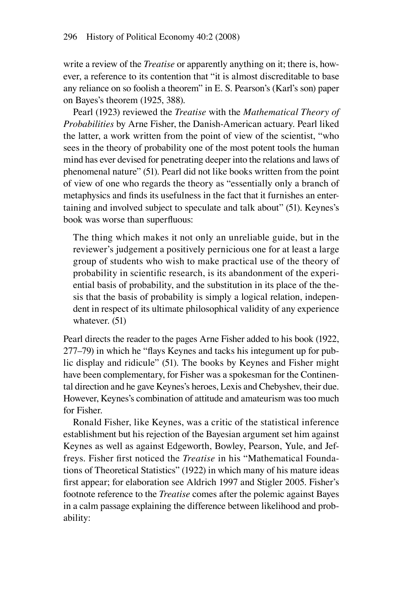write a review of the *Treatise* or apparently anything on it; there is, however, a reference to its contention that "it is almost discreditable to base any reliance on so foolish a theorem" in E. S. Pearson's (Karl's son) paper on Bayes's theorem (1925, 388).

Pearl (1923) reviewed the *Treatise* with the *Mathematical Theory of Probabilities* by Arne Fisher, the Danish-American actuary. Pearl liked the latter, a work written from the point of view of the scientist, "who sees in the theory of probability one of the most potent tools the human mind has ever devised for penetrating deeper into the relations and laws of phenomenal nature" (51). Pearl did not like books written from the point of view of one who regards the theory as "essentially only a branch of metaphysics and finds its usefulness in the fact that it furnishes an entertaining and involved subject to speculate and talk about" (51). Keynes's book was worse than superfluous:

The thing which makes it not only an unreliable guide, but in the reviewer's judgement a positively pernicious one for at least a large group of students who wish to make practical use of the theory of probability in scientific research, is its abandonment of the experiential basis of probability, and the substitution in its place of the thesis that the basis of probability is simply a logical relation, independent in respect of its ultimate philosophical validity of any experience whatever. (51)

Pearl directs the reader to the pages Arne Fisher added to his book (1922, 277–79) in which he "flays Keynes and tacks his integument up for public display and ridicule" (51). The books by Keynes and Fisher might have been complementary, for Fisher was a spokesman for the Continental direction and he gave Keynes's heroes, Lexis and Chebyshev, their due. However, Keynes's combination of attitude and amateurism was too much for Fisher.

Ronald Fisher, like Keynes, was a critic of the statistical inference establishment but his rejection of the Bayesian argument set him against Keynes as well as against Edgeworth, Bowley, Pearson, Yule, and Jeffreys. Fisher first noticed the *Treatise* in his "Mathematical Foundations of Theoretical Statistics" (1922) in which many of his mature ideas first appear; for elaboration see Aldrich 1997 and Stigler 2005. Fisher's footnote reference to the *Treatise* comes after the polemic against Bayes in a calm passage explaining the difference between likelihood and probability: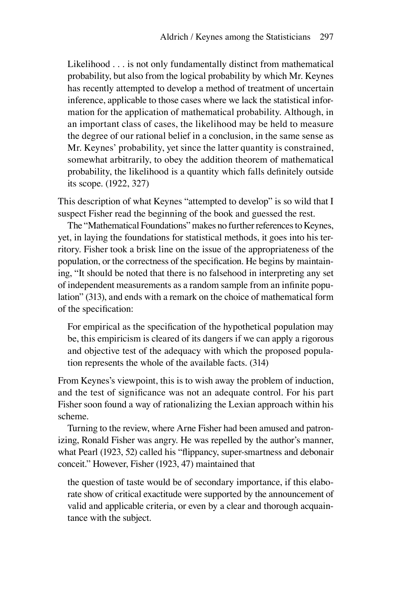Likelihood . . . is not only fundamentally distinct from mathematical probability, but also from the logical probability by which Mr. Keynes has recently attempted to develop a method of treatment of uncertain inference, applicable to those cases where we lack the statistical information for the application of mathematical probability. Although, in an important class of cases, the likelihood may be held to measure the degree of our rational belief in a conclusion, in the same sense as Mr. Keynes' probability, yet since the latter quantity is constrained, somewhat arbitrarily, to obey the addition theorem of mathematical probability, the likelihood is a quantity which falls definitely outside its scope. (1922, 327)

This description of what Keynes "attempted to develop" is so wild that I suspect Fisher read the beginning of the book and guessed the rest.

The "Mathematical Foundations" makes no further references to Keynes, yet, in laying the foundations for statistical methods, it goes into his territory. Fisher took a brisk line on the issue of the appropriateness of the population, or the correctness of the specification. He begins by maintaining, "It should be noted that there is no falsehood in interpreting any set of independent measurements as a random sample from an infinite population" (313), and ends with a remark on the choice of mathematical form of the specification:

For empirical as the specification of the hypothetical population may be, this empiricism is cleared of its dangers if we can apply a rigorous and objective test of the adequacy with which the proposed population represents the whole of the available facts. (314)

From Keynes's viewpoint, this is to wish away the problem of induction, and the test of significance was not an adequate control. For his part Fisher soon found a way of rationalizing the Lexian approach within his scheme.

Turning to the review, where Arne Fisher had been amused and patronizing, Ronald Fisher was angry. He was repelled by the author's manner, what Pearl (1923, 52) called his "flippancy, super-smartness and debonair conceit." However, Fisher (1923, 47) maintained that

the question of taste would be of secondary importance, if this elaborate show of critical exactitude were supported by the announcement of valid and applicable criteria, or even by a clear and thorough acquaintance with the subject.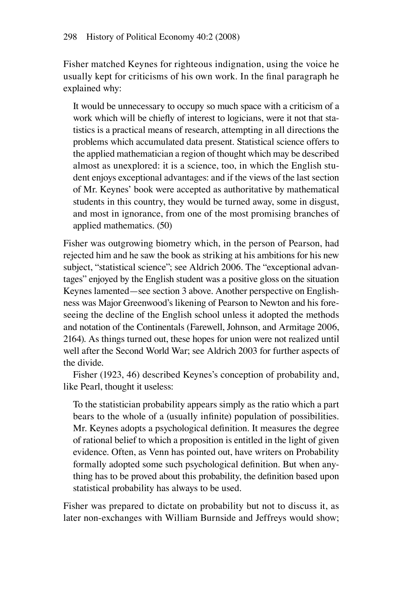Fisher matched Keynes for righteous indignation, using the voice he usually kept for criticisms of his own work. In the final paragraph he explained why:

It would be unnecessary to occupy so much space with a criticism of a work which will be chiefly of interest to logicians, were it not that statistics is a practical means of research, attempting in all directions the problems which accumulated data present. Statistical science offers to the applied mathematician a region of thought which may be described almost as unexplored: it is a science, too, in which the English student enjoys exceptional advantages: and if the views of the last section of Mr. Keynes' book were accepted as authoritative by mathematical students in this country, they would be turned away, some in disgust, and most in ignorance, from one of the most promising branches of applied mathematics. (50)

Fisher was outgrowing biometry which, in the person of Pearson, had rejected him and he saw the book as striking at his ambitions for his new subject, "statistical science"; see Aldrich 2006. The "exceptional advantages" enjoyed by the English student was a positive gloss on the situation Keynes lamented—see section 3 above. Another perspective on Englishness was Major Greenwood's likening of Pearson to Newton and his foreseeing the decline of the English school unless it adopted the methods and notation of the Continentals (Farewell, Johnson, and Armitage 2006, 2164). As things turned out, these hopes for union were not realized until well after the Second World War; see Aldrich 2003 for further aspects of the divide.

Fisher (1923, 46) described Keynes's conception of probability and, like Pearl, thought it useless:

To the statistician probability appears simply as the ratio which a part bears to the whole of a (usually infinite) population of possibilities. Mr. Keynes adopts a psychological definition. It measures the degree of rational belief to which a proposition is entitled in the light of given evidence. Often, as Venn has pointed out, have writers on Probability formally adopted some such psychological definition. But when anything has to be proved about this probability, the definition based upon statistical probability has always to be used.

Fisher was prepared to dictate on probability but not to discuss it, as later non-exchanges with William Burnside and Jeffreys would show;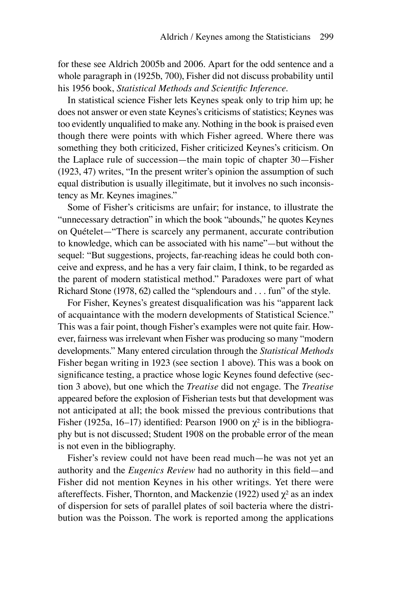for these see Aldrich 2005b and 2006. Apart for the odd sentence and a whole paragraph in (1925b, 700), Fisher did not discuss probability until his 1956 book, *Statistical Methods and Scientific Inference*.

In statistical science Fisher lets Keynes speak only to trip him up; he does not answer or even state Keynes's criticisms of statistics; Keynes was too evidently unqualified to make any. Nothing in the book is praised even though there were points with which Fisher agreed. Where there was something they both criticized, Fisher criticized Keynes's criticism. On the Laplace rule of succession—the main topic of chapter 30—Fisher (1923, 47) writes, "In the present writer's opinion the assumption of such equal distribution is usually illegitimate, but it involves no such inconsistency as Mr. Keynes imagines."

Some of Fisher's criticisms are unfair; for instance, to illustrate the "unnecessary detraction" in which the book "abounds," he quotes Keynes on Quételet—"There is scarcely any permanent, accurate contribution to knowledge, which can be associated with his name"—but without the sequel: "But suggestions, projects, far-reaching ideas he could both conceive and express, and he has a very fair claim, I think, to be regarded as the parent of modern statistical method." Paradoxes were part of what Richard Stone (1978, 62) called the "splendours and . . . fun" of the style.

For Fisher, Keynes's greatest disqualification was his "apparent lack" of acquaintance with the modern developments of Statistical Science." This was a fair point, though Fisher's examples were not quite fair. However, fairness was irrelevant when Fisher was producing so many "modern developments." Many entered circulation through the *Statistical Methods* Fisher began writing in 1923 (see section 1 above). This was a book on significance testing, a practice whose logic Keynes found defective (section 3 above), but one which the *Treatise* did not engage. The *Treatise* appeared before the explosion of Fisherian tests but that development was not anticipated at all; the book missed the previous contributions that Fisher (1925a, 16–17) identified: Pearson 1900 on  $\chi^2$  is in the bibliography but is not discussed; Student 1908 on the probable error of the mean is not even in the bibliography.

Fisher's review could not have been read much—he was not yet an authority and the *Eugenics Review* had no authority in this field—and Fisher did not mention Keynes in his other writings. Yet there were aftereffects. Fisher, Thornton, and Mackenzie (1922) used  $\chi^2$  as an index of dispersion for sets of parallel plates of soil bacteria where the distribution was the Poisson. The work is reported among the applications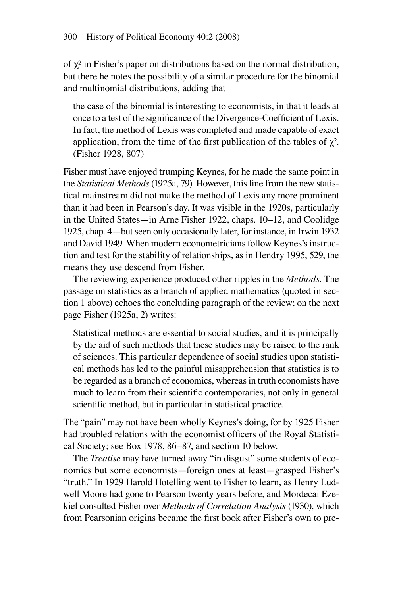of  $\chi^2$  in Fisher's paper on distributions based on the normal distribution, but there he notes the possibility of a similar procedure for the binomial and multinomial distributions, adding that

the case of the binomial is interesting to economists, in that it leads at once to a test of the significance of the Divergence-Coefficient of Lexis. In fact, the method of Lexis was completed and made capable of exact application, from the time of the first publication of the tables of  $\chi^2$ . (Fisher 1928, 807)

Fisher must have enjoyed trumping Keynes, for he made the same point in the *Statistical Methods* (1925a, 79). However, this line from the new statistical mainstream did not make the method of Lexis any more prominent than it had been in Pearson's day. It was visible in the 1920s, particularly in the United States—in Arne Fisher 1922, chaps. 10–12, and Coolidge 1925, chap. 4—but seen only occasionally later, for instance, in Irwin 1932 and David 1949. When modern econometricians follow Keynes's instruction and test for the stability of relationships, as in Hendry 1995, 529, the means they use descend from Fisher.

The reviewing experience produced other ripples in the *Methods*. The passage on statistics as a branch of applied mathematics (quoted in section 1 above) echoes the concluding paragraph of the review; on the next page Fisher (1925a, 2) writes:

Statistical methods are essential to social studies, and it is principally by the aid of such methods that these studies may be raised to the rank of sciences. This particular dependence of social studies upon statistical methods has led to the painful misapprehension that statistics is to be regarded as a branch of economics, whereas in truth economists have much to learn from their scientific contemporaries, not only in general scientific method, but in particular in statistical practice.

The "pain" may not have been wholly Keynes's doing, for by 1925 Fisher had troubled relations with the economist officers of the Royal Statistical Society; see Box 1978, 86–87, and section 10 below.

The *Treatise* may have turned away "in disgust" some students of economics but some economists—foreign ones at least—grasped Fisher's "truth." In 1929 Harold Hotelling went to Fisher to learn, as Henry Ludwell Moore had gone to Pearson twenty years before, and Mordecai Ezekiel consulted Fisher over *Methods of Correlation Analysis* (1930), which from Pearsonian origins became the first book after Fisher's own to pre-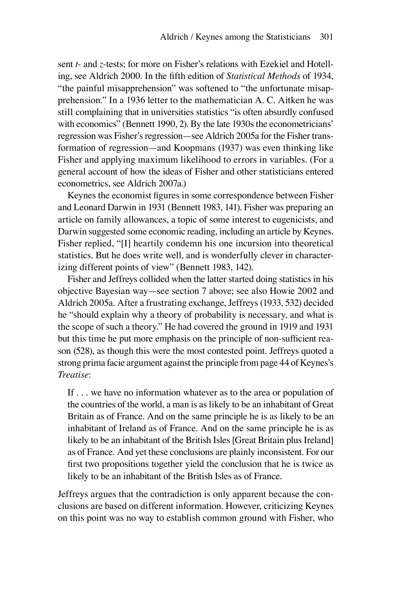sent *t*- and *z*-tests; for more on Fisher's relations with Ezekiel and Hotelling, see Aldrich 2000. In the fifth edition of *Statistical Methods* of 1934, "the painful misapprehension" was softened to "the unfortunate misapprehension." In a 1936 letter to the mathematician A. C. Aitken he was still complaining that in universities statistics "is often absurdly confused with economics" (Bennett 1990, 2). By the late 1930s the econometricians' regression was Fisher's regression—see Aldrich 2005a for the Fisher transformation of regression—and Koopmans (1937) was even thinking like Fisher and applying maximum likelihood to errors in variables. (For a general account of how the ideas of Fisher and other statisticians entered econometrics, see Aldrich 2007a.)

Keynes the economist figures in some correspondence between Fisher and Leonard Darwin in 1931 (Bennett 1983, 141). Fisher was preparing an article on family allowances, a topic of some interest to eugenicists, and Darwin suggested some economic reading, including an article by Keynes. Fisher replied, "[I] heartily condemn his one incursion into theoretical statistics. But he does write well, and is wonderfully clever in characterizing different points of view" (Bennett 1983, 142).

Fisher and Jeffreys collided when the latter started doing statistics in his objective Bayesian way—see section 7 above; see also Howie 2002 and Aldrich 2005a. After a frustrating exchange, Jeffreys (1933, 532) decided he "should explain why a theory of probability is necessary, and what is the scope of such a theory." He had covered the ground in 1919 and 1931 but this time he put more emphasis on the principle of non-sufficient reason (528), as though this were the most contested point. Jeffreys quoted a strong prima facie argument against the principle from page 44 of Keynes's *Treatise*:

If . . . we have no information whatever as to the area or population of the countries of the world, a man is as likely to be an inhabitant of Great Britain as of France. And on the same principle he is as likely to be an inhabitant of Ireland as of France. And on the same principle he is as likely to be an inhabitant of the British Isles [Great Britain plus Ireland] as of France. And yet these conclusions are plainly inconsistent. For our first two propositions together yield the conclusion that he is twice as likely to be an inhabitant of the British Isles as of France.

Jeffreys argues that the contradiction is only apparent because the conclusions are based on different information. However, criticizing Keynes on this point was no way to establish common ground with Fisher, who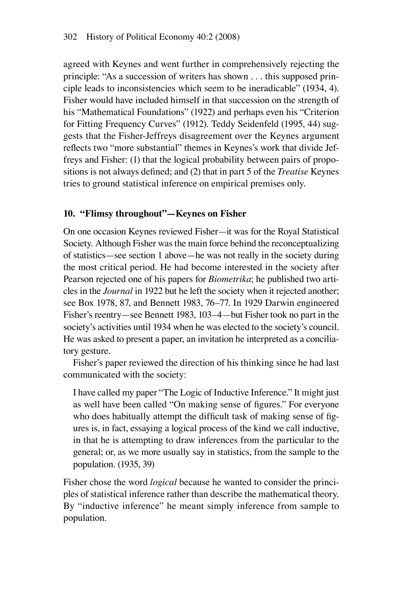agreed with Keynes and went further in comprehensively rejecting the principle: "As a succession of writers has shown . . . this supposed principle leads to inconsistencies which seem to be ineradicable" (1934, 4). Fisher would have included himself in that succession on the strength of his "Mathematical Foundations" (1922) and perhaps even his "Criterion for Fitting Frequency Curves" (1912). Teddy Seidenfeld (1995, 44) suggests that the Fisher-Jeffreys disagreement over the Keynes argument reflects two "more substantial" themes in Keynes's work that divide Jeffreys and Fisher: (1) that the logical probability between pairs of propositions is not always defined; and (2) that in part 5 of the *Treatise* Keynes tries to ground statistical inference on empirical premises only.

# **10. "Flimsy throughout"—Keynes on Fisher**

On one occasion Keynes reviewed Fisher—it was for the Royal Statistical Society. Although Fisher was the main force behind the reconceptualizing of statistics—see section 1 above—he was not really in the society during the most critical period. He had become interested in the society after Pearson rejected one of his papers for *Biometrika*; he published two articles in the *Journal* in 1922 but he left the society when it rejected another; see Box 1978, 87, and Bennett 1983, 76–77. In 1929 Darwin engineered Fisher's reentry—see Bennett 1983, 103–4—but Fisher took no part in the society's activities until 1934 when he was elected to the society's council. He was asked to present a paper, an invitation he interpreted as a conciliatory gesture.

Fisher's paper reviewed the direction of his thinking since he had last communicated with the society:

I have called my paper "The Logic of Inductive Inference." It might just as well have been called "On making sense of figures." For everyone who does habitually attempt the difficult task of making sense of figures is, in fact, essaying a logical process of the kind we call inductive, in that he is attempting to draw inferences from the particular to the general; or, as we more usually say in statistics, from the sample to the population. (1935, 39)

Fisher chose the word *logical* because he wanted to consider the principles of statistical inference rather than describe the mathematical theory. By "inductive inference" he meant simply inference from sample to population.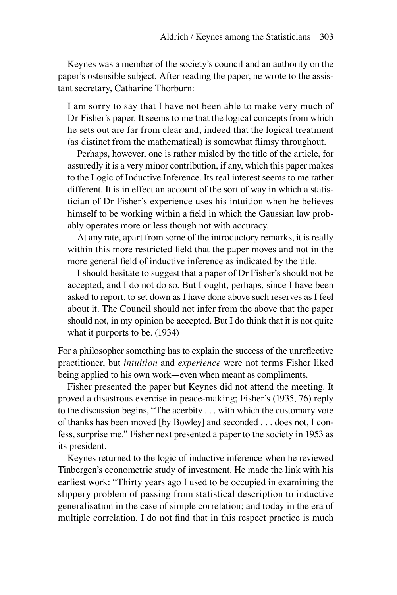Keynes was a member of the society's council and an authority on the paper's ostensible subject. After reading the paper, he wrote to the assistant secretary, Catharine Thorburn:

I am sorry to say that I have not been able to make very much of Dr Fisher's paper. It seems to me that the logical concepts from which he sets out are far from clear and, indeed that the logical treatment (as distinct from the mathematical) is somewhat flimsy throughout.

Perhaps, however, one is rather misled by the title of the article, for assuredly it is a very minor contribution, if any, which this paper makes to the Logic of Inductive Inference. Its real interest seems to me rather different. It is in effect an account of the sort of way in which a statistician of Dr Fisher's experience uses his intuition when he believes himself to be working within a field in which the Gaussian law probably operates more or less though not with accuracy.

At any rate, apart from some of the introductory remarks, it is really within this more restricted field that the paper moves and not in the more general field of inductive inference as indicated by the title.

I should hesitate to suggest that a paper of Dr Fisher's should not be accepted, and I do not do so. But I ought, perhaps, since I have been asked to report, to set down as I have done above such reserves as I feel about it. The Council should not infer from the above that the paper should not, in my opinion be accepted. But I do think that it is not quite what it purports to be. (1934)

For a philosopher something has to explain the success of the unreflective practitioner, but *intuition* and *experience* were not terms Fisher liked being applied to his own work—even when meant as compliments.

Fisher presented the paper but Keynes did not attend the meeting. It proved a disastrous exercise in peace-making; Fisher's (1935, 76) reply to the discussion begins, "The acerbity . . . with which the customary vote of thanks has been moved [by Bowley] and seconded . . . does not, I confess, surprise me." Fisher next presented a paper to the society in 1953 as its president.

Keynes returned to the logic of inductive inference when he reviewed Tinbergen's econometric study of investment. He made the link with his earliest work: "Thirty years ago I used to be occupied in examining the slippery problem of passing from statistical description to inductive generalisation in the case of simple correlation; and today in the era of multiple correlation, I do not find that in this respect practice is much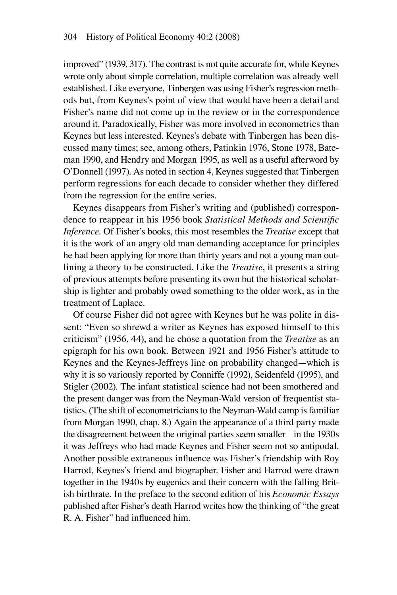improved" (1939, 317). The contrast is not quite accurate for, while Keynes wrote only about simple correlation, multiple correlation was already well established. Like everyone, Tinbergen was using Fisher's regression methods but, from Keynes's point of view that would have been a detail and Fisher's name did not come up in the review or in the correspondence around it. Paradoxically, Fisher was more involved in econometrics than Keynes but less interested. Keynes's debate with Tinbergen has been discussed many times; see, among others, Patinkin 1976, Stone 1978, Bateman 1990, and Hendry and Morgan 1995, as well as a useful afterword by O'Donnell (1997). As noted in section 4, Keynes suggested that Tinbergen perform regressions for each decade to consider whether they differed from the regression for the entire series.

Keynes disappears from Fisher's writing and (published) correspondence to reappear in his 1956 book *Statistical Methods and Scientific Inference*. Of Fisher's books, this most resembles the *Treatise* except that it is the work of an angry old man demanding acceptance for principles he had been applying for more than thirty years and not a young man outlining a theory to be constructed. Like the *Treatise*, it presents a string of previous attempts before presenting its own but the historical scholarship is lighter and probably owed something to the older work, as in the treatment of Laplace.

Of course Fisher did not agree with Keynes but he was polite in dissent: "Even so shrewd a writer as Keynes has exposed himself to this criticism" (1956, 44), and he chose a quotation from the *Treatise* as an epigraph for his own book. Between 1921 and 1956 Fisher's attitude to Keynes and the Keynes-Jeffreys line on probability changed—which is why it is so variously reported by Conniffe (1992), Seidenfeld (1995), and Stigler (2002). The infant statistical science had not been smothered and the present danger was from the Neyman-Wald version of frequentist statistics. (The shift of econometricians to the Neyman-Wald camp is familiar from Morgan 1990, chap. 8.) Again the appearance of a third party made the disagreement between the original parties seem smaller—in the 1930s it was Jeffreys who had made Keynes and Fisher seem not so antipodal. Another possible extraneous influence was Fisher's friendship with Roy Harrod, Keynes's friend and biographer. Fisher and Harrod were drawn together in the 1940s by eugenics and their concern with the falling British birthrate. In the preface to the second edition of his *Economic Essays* published after Fisher's death Harrod writes how the thinking of "the great R. A. Fisher" had influenced him.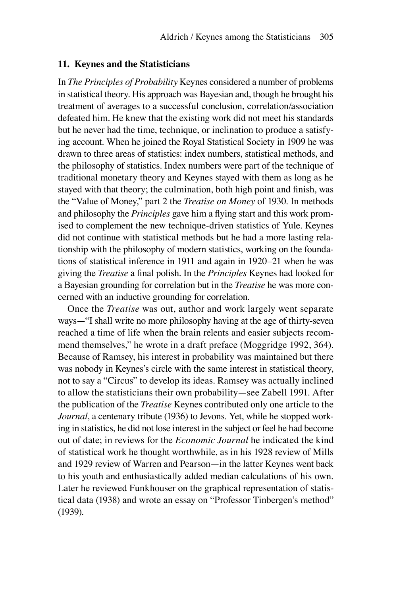#### **11. Keynes and the Statisticians**

In *The Principles of Probability* Keynes considered a number of problems in statistical theory. His approach was Bayesian and, though he brought his treatment of averages to a successful conclusion, correlation/association defeated him. He knew that the existing work did not meet his standards but he never had the time, technique, or inclination to produce a satisfying account. When he joined the Royal Statistical Society in 1909 he was drawn to three areas of statistics: index numbers, statistical methods, and the philosophy of statistics. Index numbers were part of the technique of traditional monetary theory and Keynes stayed with them as long as he stayed with that theory; the culmination, both high point and finish, was the "Value of Money," part 2 the *Treatise on Money* of 1930. In methods and philosophy the *Principles* gave him a flying start and this work promised to complement the new technique-driven statistics of Yule. Keynes did not continue with statistical methods but he had a more lasting relationship with the philosophy of modern statistics, working on the foundations of statistical inference in 1911 and again in 1920–21 when he was giving the *Treatise* a final polish. In the *Principles* Keynes had looked for a Bayesian grounding for correlation but in the *Treatise* he was more concerned with an inductive grounding for correlation.

Once the *Treatise* was out, author and work largely went separate ways—"I shall write no more philosophy having at the age of thirty-seven reached a time of life when the brain relents and easier subjects recommend themselves," he wrote in a draft preface (Moggridge 1992, 364). Because of Ramsey, his interest in probability was maintained but there was nobody in Keynes's circle with the same interest in statistical theory, not to say a "Circus" to develop its ideas. Ramsey was actually inclined to allow the statisticians their own probability—see Zabell 1991. After the publication of the *Treatise* Keynes contributed only one article to the *Journal*, a centenary tribute (1936) to Jevons. Yet, while he stopped working in statistics, he did not lose interest in the subject or feel he had become out of date; in reviews for the *Economic Journal* he indicated the kind of statistical work he thought worthwhile, as in his 1928 review of Mills and 1929 review of Warren and Pearson—in the latter Keynes went back to his youth and enthusiastically added median calculations of his own. Later he reviewed Funkhouser on the graphical representation of statistical data (1938) and wrote an essay on "Professor Tinbergen's method" (1939).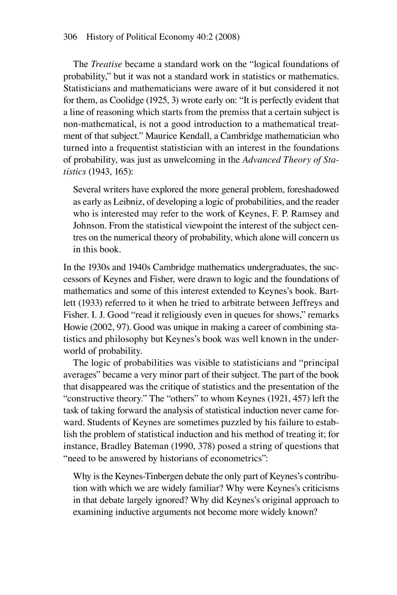The *Treatise* became a standard work on the "logical foundations of probability," but it was not a standard work in statistics or mathematics. Statisticians and mathematicians were aware of it but considered it not for them, as Coolidge (1925, 3) wrote early on: "It is perfectly evident that a line of reasoning which starts from the premiss that a certain subject is non-mathematical, is not a good introduction to a mathematical treatment of that subject." Maurice Kendall, a Cambridge mathematician who turned into a frequentist statistician with an interest in the foundations of probability, was just as unwelcoming in the *Advanced Theory of Statistics* (1943, 165):

Several writers have explored the more general problem, foreshadowed as early as Leibniz, of developing a logic of probabilities, and the reader who is interested may refer to the work of Keynes, F. P. Ramsey and Johnson. From the statistical viewpoint the interest of the subject centres on the numerical theory of probability, which alone will concern us in this book.

In the 1930s and 1940s Cambridge mathematics undergraduates, the successors of Keynes and Fisher, were drawn to logic and the foundations of mathematics and some of this interest extended to Keynes's book. Bartlett (1933) referred to it when he tried to arbitrate between Jeffreys and Fisher. I. J. Good "read it religiously even in queues for shows," remarks Howie (2002, 97). Good was unique in making a career of combining statistics and philosophy but Keynes's book was well known in the underworld of probability.

The logic of probabilities was visible to statisticians and "principal averages" became a very minor part of their subject. The part of the book that disappeared was the critique of statistics and the presentation of the "constructive theory." The "others" to whom Keynes (1921, 457) left the task of taking forward the analysis of statistical induction never came forward. Students of Keynes are sometimes puzzled by his failure to establish the problem of statistical induction and his method of treating it; for instance, Bradley Bateman (1990, 378) posed a string of questions that "need to be answered by historians of econometrics":

Why is the Keynes-Tinbergen debate the only part of Keynes's contribution with which we are widely familiar? Why were Keynes's criticisms in that debate largely ignored? Why did Keynes's original approach to examining inductive arguments not become more widely known?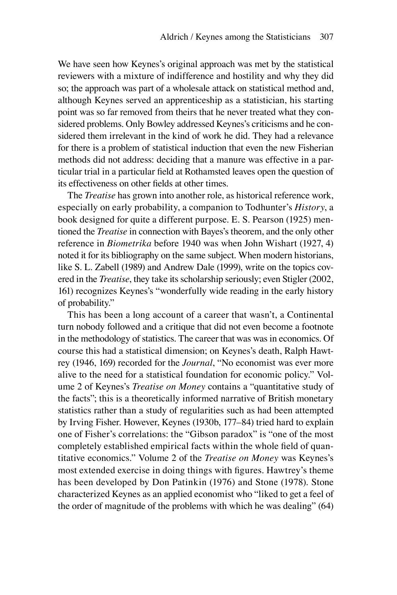We have seen how Keynes's original approach was met by the statistical reviewers with a mixture of indifference and hostility and why they did so; the approach was part of a wholesale attack on statistical method and, although Keynes served an apprenticeship as a statistician, his starting point was so far removed from theirs that he never treated what they considered problems. Only Bowley addressed Keynes's criticisms and he considered them irrelevant in the kind of work he did. They had a relevance for there is a problem of statistical induction that even the new Fisherian methods did not address: deciding that a manure was effective in a particular trial in a particular field at Rothamsted leaves open the question of its effectiveness on other fields at other times.

The *Treatise* has grown into another role, as historical reference work, especially on early probability, a companion to Todhunter's *History*, a book designed for quite a different purpose. E. S. Pearson (1925) mentioned the *Treatise* in connection with Bayes's theorem, and the only other reference in *Biometrika* before 1940 was when John Wishart (1927, 4) noted it for its bibliography on the same subject. When modern historians, like S. L. Zabell (1989) and Andrew Dale (1999), write on the topics covered in the *Treatise*, they take its scholarship seriously; even Stigler (2002, 161) recognizes Keynes's "wonderfully wide reading in the early history of probability."

This has been a long account of a career that wasn't, a Continental turn nobody followed and a critique that did not even become a footnote in the methodology of statistics. The career that was was in economics. Of course this had a statistical dimension; on Keynes's death, Ralph Hawtrey (1946, 169) recorded for the *Journal*, "No economist was ever more alive to the need for a statistical foundation for economic policy." Volume 2 of Keynes's *Treatise on Money* contains a "quantitative study of the facts"; this is a theoretically informed narrative of British monetary statistics rather than a study of regularities such as had been attempted by Irving Fisher. However, Keynes (1930b, 177–84) tried hard to explain one of Fisher's correlations: the "Gibson paradox" is "one of the most completely established empirical facts within the whole field of quantitative economics." Volume 2 of the *Treatise on Money* was Keynes's most extended exercise in doing things with figures. Hawtrey's theme has been developed by Don Patinkin (1976) and Stone (1978). Stone characterized Keynes as an applied economist who "liked to get a feel of the order of magnitude of the problems with which he was dealing" (64)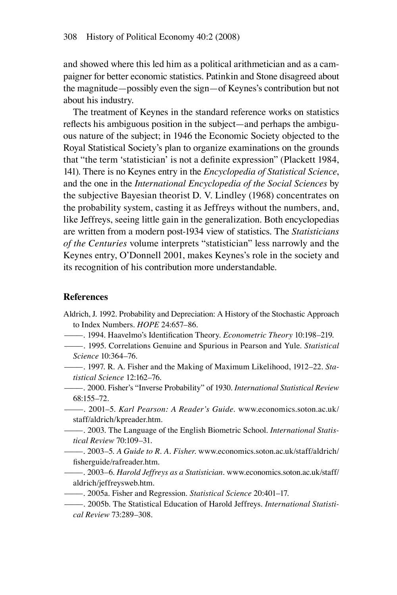and showed where this led him as a political arithmetician and as a campaigner for better economic statistics. Patinkin and Stone disagreed about the magnitude—possibly even the sign—of Keynes's contribution but not about his industry.

The treatment of Keynes in the standard reference works on statistics reflects his ambiguous position in the subject—and perhaps the ambiguous nature of the subject; in 1946 the Economic Society objected to the Royal Statistical Society's plan to organize examinations on the grounds that "the term 'statistician' is not a definite expression" (Plackett 1984, 141). There is no Keynes entry in the *Encyclopedia of Statistical Science*, and the one in the *International Encyclopedia of the Social Sciences* by the subjective Bayesian theorist D. V. Lindley (1968) concentrates on the probability system, casting it as Jeffreys without the numbers, and, like Jeffreys, seeing little gain in the generalization. Both encyclopedias are written from a modern post-1934 view of statistics. The *Statisticians of the Centuries* volume interprets "statistician" less narrowly and the Keynes entry, O'Donnell 2001, makes Keynes's role in the society and its recognition of his contribution more understandable.

#### **References**

- Aldrich, J. 1992. Probability and Depreciation: A History of the Stochastic Approach to Index Numbers. *HOPE* 24:657–86.
- ——. 1994. Haavelmo's Identification Theory. *Econometric Theory* 10:198-219.
- ———. 1995. Correlations Genuine and Spurious in Pearson and Yule. *Statistical Science* 10:364–76.
- ———. 1997. R. A. Fisher and the Making of Maximum Likelihood, 1912–22. *Statistical Science* 12:162–76.

———. 2000. Fisher's "Inverse Probability" of 1930. *International Statistical Review* 68:155–72.

- ———. 2001–5. *Karl Pearson: A Reader's Guide*. www.economics.soton.ac.uk/ staff/aldrich/kpreader.htm.
- ———. 2003. The Language of the English Biometric School. *International Statistical Review* 70:109–31.
- ———. 2003–5. *A Guide to R. A. Fisher*. www.economics.soton.ac.uk/staff/aldrich/ fi sherguide/rafreader.htm.
- ———. 2003–6. *Harold Jeffreys as a Statistician*. www.economics.soton.ac.uk/staff/ aldrich/jeffreysweb.htm.
- ———. 2005a. Fisher and Regression. *Statistical Science* 20:401–17.
- ———. 2005b. The Statistical Education of Harold Jeffreys. *International Statistical Review* 73:289–308.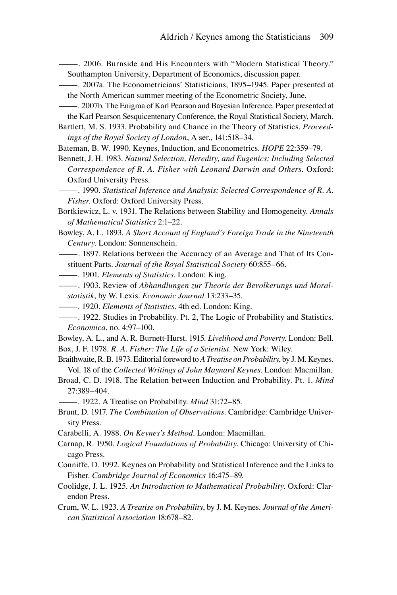- ———. 2006. Burnside and His Encounters with "Modern Statistical Theory." Southampton University, Department of Economics, discussion paper.
- ———. 2007a. The Econometricians' Statisticians, 1895–1945. Paper presented at the North American summer meeting of the Econometric Society, June.

———. 2007b. The Enigma of Karl Pearson and Bayesian Inference. Paper presented at the Karl Pearson Sesquicentenary Conference, the Royal Statistical Society, March.

- Bartlett, M. S. 1933. Probability and Chance in the Theory of Statistics. *Proceedings of the Royal Society of London*, A ser., 141:518–34.
- Bateman, B. W. 1990. Keynes, Induction, and Econometrics. *HOPE* 22:359–79.
- Bennett, J. H. 1983. *Natural Selection, Heredity, and Eugenics: Including Selected Correspondence of R. A. Fisher with Leonard Darwin and Others*. Oxford: Oxford University Press.
- ———. 1990. *Statistical Inference and Analysis: Selected Correspondence of R. A. Fisher*. Oxford: Oxford University Press.
- Bortkiewicz, L. v. 1931. The Relations between Stability and Homogeneity. *Annals of Mathematical Statistics* 2:1–22.
- Bowley, A. L. 1893. *A Short Account of England's Foreign Trade in the Nineteenth Century*. London: Sonnenschein.
- ———. 1897. Relations between the Accuracy of an Average and That of Its Constituent Parts. *Journal of the Royal Statistical Society* 60:855–66.
- ———. 1901. *Elements of Statistics*. London: King.
- ———. 1903. Review of *Abhandlungen zur Theorie der Bevolkerungs und Moral-*
- *statistik*, by W. Lexis. *Economic Journal* 13:233–35.
- ———. 1920. *Elements of Statistics*. 4th ed. London: King.
- ———. 1922. Studies in Probability. Pt. 2, The Logic of Probability and Statistics. *Economica*, no. 4:97–100.
- Bowley, A. L., and A. R. Burnett-Hurst. 1915. *Livelihood and Poverty*. London: Bell. Box, J. F. 1978. *R. A. Fisher: The Life of a Scientist*. New York: Wiley.
- Braithwaite, R. B. 1973. Editorial foreword to *A Treatise on Probability*, by J. M. Keynes. Vol. 18 of the *Collected Writings of John Maynard Keynes*. London: Macmillan.
- Broad, C. D. 1918. The Relation between Induction and Probability. Pt. 1. *Mind* 27:389–404.
- ———. 1922. A Treatise on Probability. *Mind* 31:72–85.
- Brunt, D. 1917. *The Combination of Observations*. Cambridge: Cambridge University Press.
- Carabelli, A. 1988. *On Keynes's Method*. London: Macmillan.
- Carnap, R. 1950. *Logical Foundations of Probability*. Chicago: University of Chicago Press.
- Conniffe, D. 1992. Keynes on Probability and Statistical Inference and the Links to Fisher. *Cambridge Journal of Economics* 16:475–89.
- Coolidge, J. L. 1925. *An Introduction to Mathematical Probability*. Oxford: Clarendon Press.
- Crum, W. L. 1923. *A Treatise on Probability*, by J. M. Keynes. *Journal of the American Statistical Association* 18:678–82.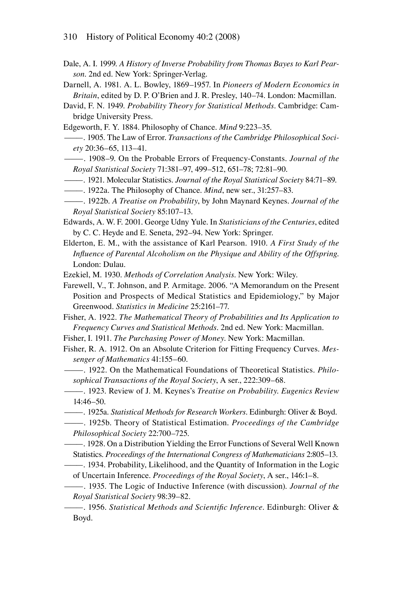- Dale, A. I. 1999. *A History of Inverse Probability from Thomas Bayes to Karl Pearson*. 2nd ed. New York: Springer-Verlag.
- Darnell, A. 1981. A. L. Bowley, 1869–1957. In *Pioneers of Modern Economics in Britain*, edited by D. P. O'Brien and J. R. Presley, 140–74. London: Macmillan.
- David, F. N. 1949. *Probability Theory for Statistical Methods*. Cambridge: Cambridge University Press.
- Edgeworth, F. Y. 1884. Philosophy of Chance. *Mind* 9:223–35.
- ———. 1905. The Law of Error. *Transactions of the Cambridge Philosophical Society* 20:36–65, 113–41.
- ———. 1908–9. On the Probable Errors of Frequency-Constants. *Journal of the Royal Statistical Society* 71:381–97, 499–512, 651–78; 72:81–90.
- ———. 1921. Molecular Statistics. *Journal of the Royal Statistical Society* 84:71–89.
- ———. 1922a. The Philosophy of Chance. *Mind*, new ser., 31:257–83.
- ———. 1922b. *A Treatise on Probability*, by John Maynard Keynes. *Journal of the Royal Statistical Society* 85:107–13.

Edwards, A. W. F. 2001. George Udny Yule. In *Statisticians of the Centuries*, edited by C. C. Heyde and E. Seneta, 292–94. New York: Springer.

- Elderton, E. M., with the assistance of Karl Pearson. 1910. *A First Study of the Infl uence of Parental Alcoholism on the Physique and Ability of the Offspring*. London: Dulau.
- Ezekiel, M. 1930. *Methods of Correlation Analysis*. New York: Wiley.

Farewell, V., T. Johnson, and P. Armitage. 2006. "A Memorandum on the Present Position and Prospects of Medical Statistics and Epidemiology," by Major Greenwood. *Statistics in Medicine* 25:2161–77.

- Fisher, A. 1922. *The Mathematical Theory of Probabilities and Its Application to Frequency Curves and Statistical Methods*. 2nd ed. New York: Macmillan.
- Fisher, I. 1911. *The Purchasing Power of Money*. New York: Macmillan.
- Fisher, R. A. 1912. On an Absolute Criterion for Fitting Frequency Curves. *Messenger of Mathematics* 41:155–60.

———. 1922. On the Mathematical Foundations of Theoretical Statistics. *Philosophical Transactions of the Royal Society*, A ser., 222:309–68.

- ———. 1923. Review of J. M. Keynes's *Treatise on Probability*. *Eugenics Review* 14:46–50.
- ———. 1925a. *Statistical Methods for Research Workers*. Edinburgh: Oliver & Boyd.

———. 1925b. Theory of Statistical Estimation. *Proceedings of the Cambridge Philosophical Society* 22:700–725.

- ———. 1928. On a Distribution Yielding the Error Functions of Several Well Known Statistics. *Proceedings of the International Congress of Mathematicians* 2:805–13.
- ———. 1934. Probability, Likelihood, and the Quantity of Information in the Logic of Uncertain Inference. *Proceedings of the Royal Society*, A ser., 146:1–8.

———. 1935. The Logic of Inductive Inference (with discussion). *Journal of the Royal Statistical Society* 98:39–82.

 $-$ . 1956. *Statistical Methods and Scientific Inference*. Edinburgh: Oliver & Boyd.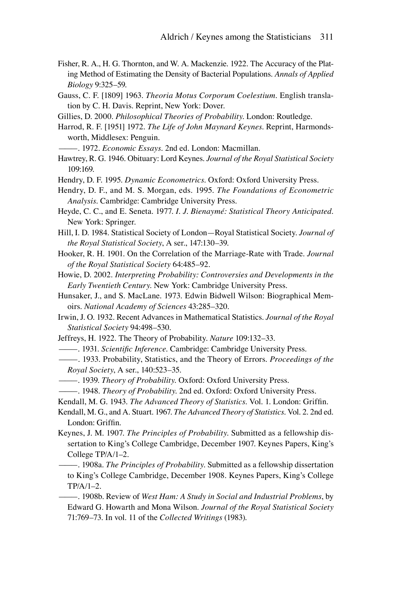- Fisher, R. A., H. G. Thornton, and W. A. Mackenzie. 1922. The Accuracy of the Plating Method of Estimating the Density of Bacterial Populations. *Annals of Applied Biology* 9:325–59.
- Gauss, C. F. [1809] 1963. *Theoria Motus Corporum Coelestium*. English translation by C. H. Davis. Reprint, New York: Dover.
- Gillies, D. 2000. *Philosophical Theories of Probability*. London: Routledge.
- Harrod, R. F. [1951] 1972. *The Life of John Maynard Keynes*. Reprint, Harmondsworth, Middlesex: Penguin.
- ———. 1972. *Economic Essays*. 2nd ed. London: Macmillan.
- Hawtrey, R. G. 1946. Obituary: Lord Keynes. *Journal of the Royal Statistical Society*  109:169.
- Hendry, D. F. 1995. *Dynamic Econometrics*. Oxford: Oxford University Press.
- Hendry, D. F., and M. S. Morgan, eds. 1995. *The Foundations of Econometric Analysis*. Cambridge: Cambridge University Press.
- Heyde, C. C., and E. Seneta. 1977. *I. J. Bienaymé: Statistical Theory Anticipated*. New York: Springer.
- Hill, I. D. 1984. Statistical Society of London—Royal Statistical Society. *Journal of the Royal Statistical Society*, A ser., 147:130–39.
- Hooker, R. H. 1901. On the Correlation of the Marriage-Rate with Trade. *Journal of the Royal Statistical Society* 64:485–92.
- Howie, D. 2002. *Interpreting Probability: Controversies and Developments in the Early Twentieth Century*. New York: Cambridge University Press.
- Hunsaker, J., and S. MacLane. 1973. Edwin Bidwell Wilson: Biographical Memoirs. *National Academy of Sciences* 43:285–320.
- Irwin, J. O. 1932. Recent Advances in Mathematical Statistics. *Journal of the Royal Statistical Society* 94:498–530.
- Jeffreys, H. 1922. The Theory of Probability. *Nature* 109:132–33.
- **-**——. 1931. *Scientific Inference*. Cambridge: Cambridge University Press.
- ———. 1933. Probability, Statistics, and the Theory of Errors. *Proceedings of the Royal Society*, A ser., 140:523–35.
- ———. 1939. *Theory of Probability*. Oxford: Oxford University Press.
- ———. 1948. *Theory of Probability*. 2nd ed. Oxford: Oxford University Press.
- Kendall, M. G. 1943. *The Advanced Theory of Statistics*. Vol. 1. London: Griffin.
- Kendall, M. G., and A. Stuart. 1967. *The Advanced Theory of Statistics*. Vol. 2. 2nd ed. London: Griffin.
- Keynes, J. M. 1907. *The Principles of Probability*. Submitted as a fellowship dissertation to King's College Cambridge, December 1907. Keynes Papers, King's College TP/A/1–2.
- ———. 1908a. *The Principles of Probability*. Submitted as a fellowship dissertation to King's College Cambridge, December 1908. Keynes Papers, King's College TP/A/1–2.
	- ———. 1908b. Review of *West Ham: A Study in Social and Industrial Problems*, by Edward G. Howarth and Mona Wilson. *Journal of the Royal Statistical Society* 71:769–73. In vol. 11 of the *Collected Writings* (1983).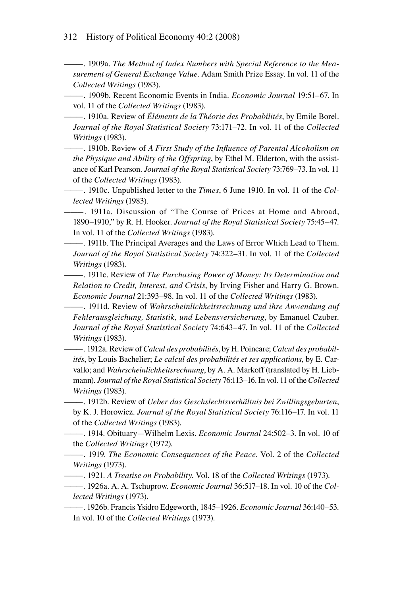———. 1909a. *The Method of Index Numbers with Special Reference to the Measurement of General Exchange Value*. Adam Smith Prize Essay. In vol. 11 of the *Collected Writings* (1983).

———. 1909b. Recent Economic Events in India. *Economic Journal* 19:51–67. In vol. 11 of the *Collected Writings* (1983).

———. 1910a. Review of *Éléments de la Théorie des Probabilités*, by Emile Borel. *Journal of the Royal Statistical Society* 73:171–72. In vol. 11 of the *Collected Writings* (1983).

**-**——. 1910b. Review of *A First Study of the Influence of Parental Alcoholism on the Physique and Ability of the Offspring*, by Ethel M. Elderton, with the assistance of Karl Pearson. *Journal of the Royal Statistical Society* 73:769–73. In vol. 11 of the *Collected Writings* (1983).

———. 1910c. Unpublished letter to the *Times*, 6 June 1910. In vol. 11 of the *Collected Writings* (1983).

———. 1911a. Discussion of "The Course of Prices at Home and Abroad, 1890–1910," by R. H. Hooker. *Journal of the Royal Statistical Society* 75:45–47. In vol. 11 of the *Collected Writings* (1983).

———. 1911b. The Principal Averages and the Laws of Error Which Lead to Them. *Journal of the Royal Statistical Society* 74:322–31. In vol. 11 of the *Collected Writings* (1983).

———. 1911c. Review of *The Purchasing Power of Money: Its Determination and Relation to Credit, Interest, and Crisis*, by Irving Fisher and Harry G. Brown. *Economic Journal* 21:393–98. In vol. 11 of the *Collected Writings* (1983).

———. 1911d. Review of *Wahrscheinlichkeitsrechnung und ihre Anwendung auf Fehlerausgleichung, Statistik, und Lebensversicherung*, by Emanuel Czuber. *Journal of the Royal Statistical Society* 74:643–47. In vol. 11 of the *Collected Writings* (1983).

———. 1912a. Review of *Calcul des probabilités*, by H. Poincare; *Calcul des probabilités*, by Louis Bachelier; *Le calcul des probabilités et ses applications*, by E. Carvallo; and *Wahrscheinlichkeitsrechnung*, by A. A. Markoff (translated by H. Liebmann). *Journal of the Royal Statistical Society* 76:113–16. In vol. 11 of the *Collected Writings* (1983).

———. 1912b. Review of *Ueber das Geschslechtsverhältnis bei Zwillingsgeburten*, by K. J. Horowicz. *Journal of the Royal Statistical Society* 76:116–17. In vol. 11 of the *Collected Writings* (1983).

———. 1914. Obituary—Wilhelm Lexis. *Economic Journal* 24:502–3. In vol. 10 of the *Collected Writings* (1972).

———. 1919. *The Economic Consequences of the Peace*. Vol. 2 of the *Collected Writings* (1973).

———. 1921. *A Treatise on Probability*. Vol. 18 of the *Collected Writings* (1973).

———. 1926a. A. A. Tschuprow. *Economic Journal* 36:517–18. In vol. 10 of the *Collected Writings* (1973).

———. 1926b. Francis Ysidro Edgeworth, 1845–1926. *Economic Journal* 36:140–53. In vol. 10 of the *Collected Writings* (1973).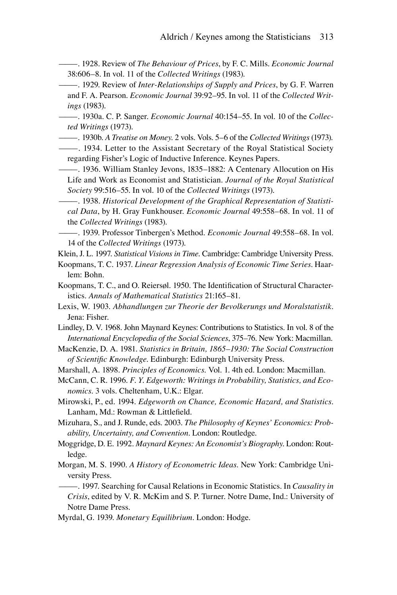———. 1928. Review of *The Behaviour of Prices*, by F. C. Mills. *Economic Journal* 38:606–8. In vol. 11 of the *Collected Writings* (1983).

———. 1929. Review of *Inter-Relationships of Supply and Prices*, by G. F. Warren and F. A. Pearson. *Economic Journal* 39:92–95. In vol. 11 of the *Collected Writings* (1983).

———. 1930a. C. P. Sanger. *Economic Journal* 40:154–55. In vol. 10 of the *Collected Writings* (1973).

———. 1930b. *A Treatise on Money*. 2 vols. Vols. 5–6 of the *Collected Writings* (1973).

———. 1934. Letter to the Assistant Secretary of the Royal Statistical Society regarding Fisher's Logic of Inductive Inference. Keynes Papers.

———. 1936. William Stanley Jevons, 1835–1882: A Centenary Allocution on His Life and Work as Economist and Statistician. *Journal of the Royal Statistical Society* 99:516–55. In vol. 10 of the *Collected Writings* (1973).

 $-$ . 1938. Historical Development of the Graphical Representation of Statisti*cal Data*, by H. Gray Funkhouser. *Economic Journal* 49:558–68. In vol. 11 of the *Collected Writings* (1983).

———. 1939. Professor Tinbergen's Method. *Economic Journal* 49:558–68. In vol. 14 of the *Collected Writings* (1973).

Klein, J. L. 1997. *Statistical Visions in Time*. Cambridge: Cambridge University Press.

- Koopmans, T. C. 1937. *Linear Regression Analysis of Economic Time Series*. Haarlem: Bohn.
- Koopmans, T. C., and O. Reiersøl. 1950. The Identification of Structural Characteristics. *Annals of Mathematical Statistics* 21:165–81.
- Lexis, W. 1903. *Abhandlungen zur Theorie der Bevolkerungs und Moralstatistik*. Jena: Fisher.

Lindley, D. V. 1968. John Maynard Keynes: Contributions to Statistics. In vol. 8 of the *International Encyclopedia of the Social Sciences*, 375–76. New York: Macmillan.

MacKenzie, D. A. 1981. *Statistics in Britain, 1865–1930: The Social Construction*  of Scientific Knowledge. Edinburgh: Edinburgh University Press.

Marshall, A. 1898. *Principles of Economics*. Vol. 1. 4th ed. London: Macmillan.

McCann, C. R. 1996. *F. Y. Edgeworth: Writings in Probability, Statistics, and Economics*. 3 vols. Cheltenham, U.K.: Elgar.

Mirowski, P., ed. 1994. *Edgeworth on Chance, Economic Hazard, and Statistics*. Lanham, Md.: Rowman & Littlefield.

Mizuhara, S., and J. Runde, eds. 2003. *The Philosophy of Keynes' Economics: Probability, Uncertainty, and Convention*. London: Routledge.

Moggridge, D. E. 1992. *Maynard Keynes: An Economist's Biography*. London: Routledge.

Morgan, M. S. 1990. *A History of Econometric Ideas*. New York: Cambridge University Press.

———. 1997. Searching for Causal Relations in Economic Statistics. In *Causality in Crisis*, edited by V. R. McKim and S. P. Turner. Notre Dame, Ind.: University of Notre Dame Press.

Myrdal, G. 1939. *Monetary Equilibrium*. London: Hodge.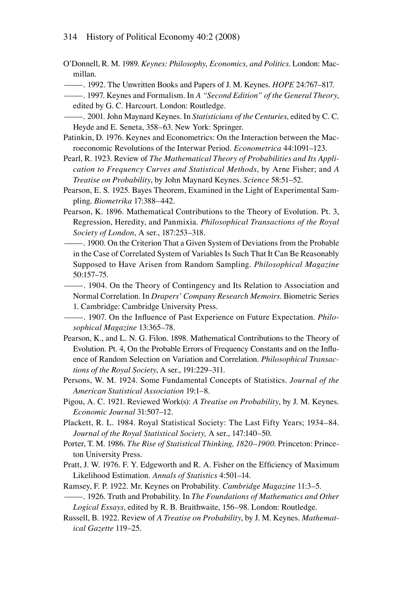O'Donnell, R. M. 1989. *Keynes: Philosophy, Economics, and Politics*. London: Macmillan.

- ———. 1992. The Unwritten Books and Papers of J. M. Keynes. *HOPE* 24:767–817.
- ———. 1997. Keynes and Formalism. In *A "Second Edition" of the General Theory*, edited by G. C. Harcourt. London: Routledge.

———. 2001. John Maynard Keynes. In *Statisticians of the Centuries*, edited by C. C. Heyde and E. Seneta, 358–63. New York: Springer.

Patinkin, D. 1976. Keynes and Econometrics: On the Interaction between the Macroeconomic Revolutions of the Interwar Period. *Econometrica* 44:1091–123.

- Pearl, R. 1923. Review of *The Mathematical Theory of Probabilities and Its Application to Frequency Curves and Statistical Methods*, by Arne Fisher; and *A Treatise on Probability*, by John Maynard Keynes. *Science* 58:51–52.
- Pearson, E. S. 1925. Bayes Theorem, Examined in the Light of Experimental Sampling. *Biometrika* 17:388–442.
- Pearson, K. 1896. Mathematical Contributions to the Theory of Evolution. Pt. 3, Regression, Heredity, and Panmixia. *Philosophical Transactions of the Royal Society of London*, A ser., 187:253–318.
- ———. 1900. On the Criterion That a Given System of Deviations from the Probable in the Case of Correlated System of Variables Is Such That It Can Be Reasonably Supposed to Have Arisen from Random Sampling. *Philosophical Magazine* 50:157–75.

———. 1904. On the Theory of Contingency and Its Relation to Association and Normal Correlation. In *Drapers' Company Research Memoirs*. Biometric Series 1. Cambridge: Cambridge University Press.

- 1907. On the Influence of Past Experience on Future Expectation. *Philosophical Magazine* 13:365–78.

- Pearson, K., and L. N. G. Filon. 1898. Mathematical Contributions to the Theory of Evolution. Pt. 4, On the Probable Errors of Frequency Constants and on the Influence of Random Selection on Variation and Correlation. *Philosophical Transactions of the Royal Society*, A ser., 191:229–311.
- Persons, W. M. 1924. Some Fundamental Concepts of Statistics. *Journal of the American Statistical Association* 19:1–8.
- Pigou, A. C. 1921. Reviewed Work(s): *A Treatise on Probability*, by J. M. Keynes. *Economic Journal* 31:507–12.
- Plackett, R. L. 1984. Royal Statistical Society: The Last Fifty Years; 1934–84. *Journal of the Royal Statistical Society,* A ser., 147:140–50.
- Porter, T. M. 1986. *The Rise of Statistical Thinking, 1820–1900*. Princeton: Princeton University Press.
- Pratt, J. W. 1976. F. Y. Edgeworth and R. A. Fisher on the Efficiency of Maximum Likelihood Estimation. *Annals of Statistics* 4:501–14.

Ramsey, F. P. 1922. Mr. Keynes on Probability. *Cambridge Magazine* 11:3–5. ———. 1926. Truth and Probability. In *The Foundations of Mathematics and Other* 

*Logical Essays*, edited by R. B. Braithwaite, 156–98. London: Routledge.

Russell, B. 1922. Review of *A Treatise on Probability*, by J. M. Keynes. *Mathematical Gazette* 119–25.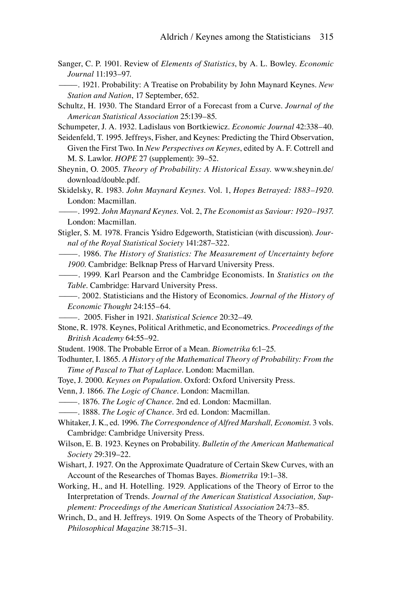Sanger, C. P. 1901. Review of *Elements of Statistics*, by A. L. Bowley. *Economic Journal* 11:193–97.

———. 1921. Probability: A Treatise on Probability by John Maynard Keynes. *New Station and Nation*, 17 September, 652.

Schultz, H. 1930. The Standard Error of a Forecast from a Curve. *Journal of the American Statistical Association* 25:139–85.

Schumpeter, J. A. 1932. Ladislaus von Bortkiewicz. *Economic Journal* 42:338–40.

Seidenfeld, T. 1995. Jeffreys, Fisher, and Keynes: Predicting the Third Observation, Given the First Two. In *New Perspectives on Keynes*, edited by A. F. Cottrell and M. S. Lawlor. *HOPE* 27 (supplement): 39–52.

- Sheynin, O. 2005. *Theory of Probability: A Historical Essay*. www.sheynin.de/ download/double.pdf.
- Skidelsky, R. 1983. *John Maynard Keynes*. Vol. 1, *Hopes Betrayed: 1883–1920*. London: Macmillan.
- ———. 1992. *John Maynard Keynes*. Vol. 2, *The Economist as Saviour: 1920–1937*. London: Macmillan.
- Stigler, S. M. 1978. Francis Ysidro Edgeworth, Statistician (with discussion). *Journal of the Royal Statistical Society* 141:287–322.
	- ———. 1986. *The History of Statistics: The Measurement of Uncertainty before 1900*. Cambridge: Belknap Press of Harvard University Press.

———. 1999. Karl Pearson and the Cambridge Economists. In *Statistics on the Table*. Cambridge: Harvard University Press.

———. 2002. Statisticians and the History of Economics. *Journal of the History of Economic Thought* 24:155–64.

- ———. 2005. Fisher in 1921. *Statistical Science* 20:32–49.
- Stone, R. 1978. Keynes, Political Arithmetic, and Econometrics. *Proceedings of the British Academy* 64:55–92.
- Student. 1908. The Probable Error of a Mean. *Biometrika* 6:1–25.

Todhunter, I. 1865. *A History of the Mathematical Theory of Probability: From the Time of Pascal to That of Laplace*. London: Macmillan.

- Toye, J. 2000. *Keynes on Population*. Oxford: Oxford University Press.
- Venn, J. 1866. *The Logic of Chance*. London: Macmillan.
- ———. 1876. *The Logic of Chance*. 2nd ed. London: Macmillan.
- ———. 1888. *The Logic of Chance*. 3rd ed. London: Macmillan.

Whitaker, J. K., ed. 1996. *The Correspondence of Alfred Marshall, Economist*. 3 vols. Cambridge: Cambridge University Press.

- Wilson, E. B. 1923. Keynes on Probability. *Bulletin of the American Mathematical Society* 29:319–22.
- Wishart, J. 1927. On the Approximate Quadrature of Certain Skew Curves, with an Account of the Researches of Thomas Bayes. *Biometrika* 19:1–38.

Working, H., and H. Hotelling. 1929. Applications of the Theory of Error to the Interpretation of Trends. *Journal of the American Statistical Association, Supplement: Proceedings of the American Statistical Association* 24:73–85.

Wrinch, D., and H. Jeffreys. 1919. On Some Aspects of the Theory of Probability. *Philosophical Magazine* 38:715–31.